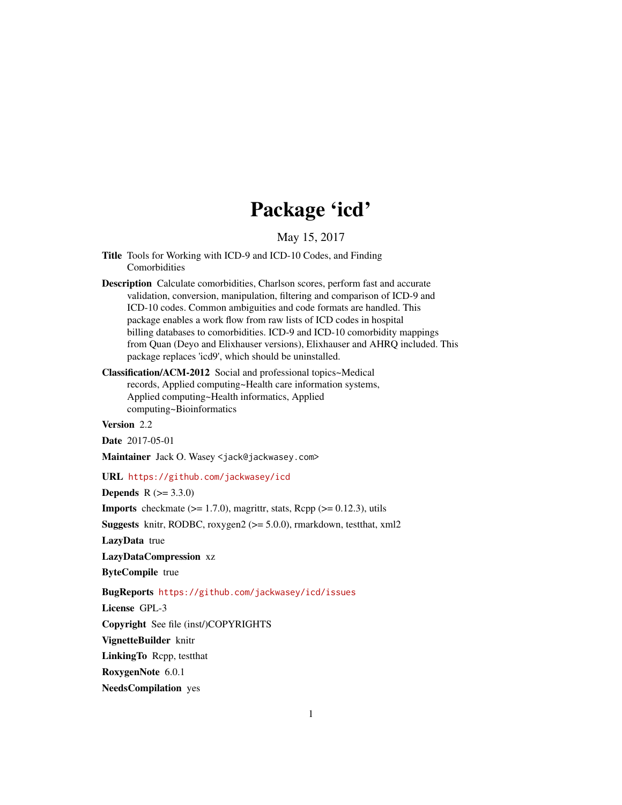# Package 'icd'

May 15, 2017

- <span id="page-0-0"></span>Title Tools for Working with ICD-9 and ICD-10 Codes, and Finding Comorbidities
- Description Calculate comorbidities, Charlson scores, perform fast and accurate validation, conversion, manipulation, filtering and comparison of ICD-9 and ICD-10 codes. Common ambiguities and code formats are handled. This package enables a work flow from raw lists of ICD codes in hospital billing databases to comorbidities. ICD-9 and ICD-10 comorbidity mappings from Quan (Deyo and Elixhauser versions), Elixhauser and AHRQ included. This package replaces 'icd9', which should be uninstalled.
- Classification/ACM-2012 Social and professional topics~Medical records, Applied computing~Health care information systems, Applied computing~Health informatics, Applied computing~Bioinformatics

Version 2.2

Date 2017-05-01

Maintainer Jack O. Wasey <jack@jackwasey.com>

# URL <https://github.com/jackwasey/icd>

**Depends** R  $(>= 3.3.0)$ 

**Imports** checkmate  $(>= 1.7.0)$ , magrittr, stats, Rcpp  $(>= 0.12.3)$ , utils

Suggests knitr, RODBC, roxygen2 (>= 5.0.0), rmarkdown, testthat, xml2

LazyData true

LazyDataCompression xz

ByteCompile true

# BugReports <https://github.com/jackwasey/icd/issues>

License GPL-3

Copyright See file (inst/)COPYRIGHTS

VignetteBuilder knitr

LinkingTo Rcpp, testthat

RoxygenNote 6.0.1

NeedsCompilation yes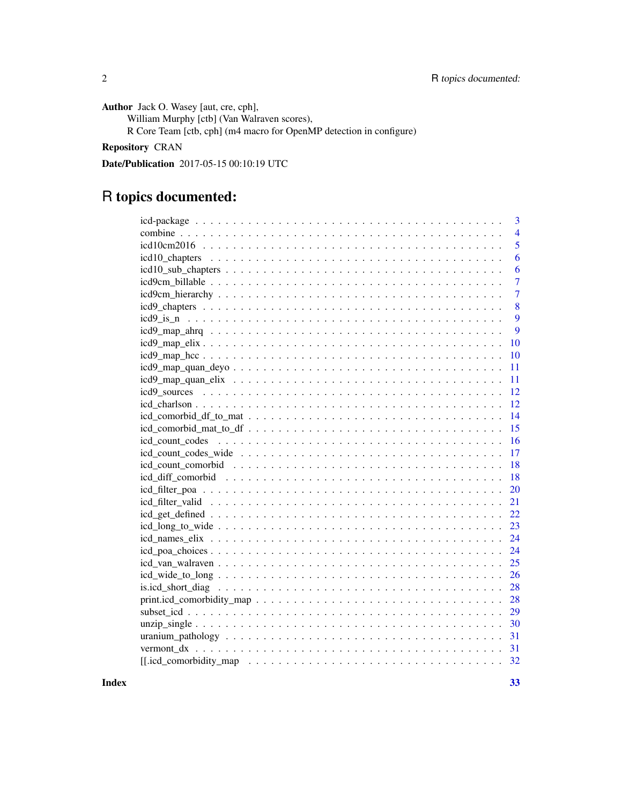Author Jack O. Wasey [aut, cre, cph],

William Murphy [ctb] (Van Walraven scores),

R Core Team [ctb, cph] (m4 macro for OpenMP detection in configure)

# Repository CRAN

Date/Publication 2017-05-15 00:10:19 UTC

# R topics documented:

| 3              |
|----------------|
| $\overline{4}$ |
| $\overline{5}$ |
| 6              |
| 6              |
| $\overline{7}$ |
| $\overline{7}$ |
| 8              |
|                |
| 9              |
| $\overline{9}$ |
| 10             |
| 10             |
| 11             |
| 11             |
| 12             |
| 12             |
| 14             |
| 15             |
| 16             |
| 17             |
| 18             |
| 18             |
| 20             |
| 21             |
| 22             |
| 23             |
| 24             |
| 24             |
| 25             |
| 26             |
| 28             |
| 28             |
| 29             |
|                |
| 31             |
|                |
| 32             |
|                |

**Index** [33](#page-32-0)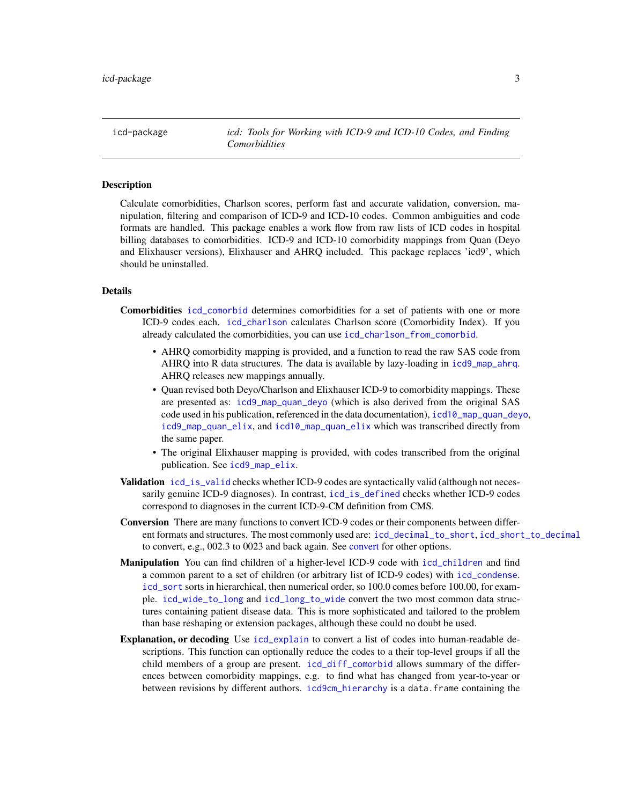<span id="page-2-0"></span>icd-package *icd: Tools for Working with ICD-9 and ICD-10 Codes, and Finding Comorbidities*

#### Description

Calculate comorbidities, Charlson scores, perform fast and accurate validation, conversion, manipulation, filtering and comparison of ICD-9 and ICD-10 codes. Common ambiguities and code formats are handled. This package enables a work flow from raw lists of ICD codes in hospital billing databases to comorbidities. ICD-9 and ICD-10 comorbidity mappings from Quan (Deyo and Elixhauser versions), Elixhauser and AHRQ included. This package replaces 'icd9', which should be uninstalled.

# Details

Comorbidities [icd\\_comorbid](#page-0-0) determines comorbidities for a set of patients with one or more ICD-9 codes each. [icd\\_charlson](#page-11-1) calculates Charlson score (Comorbidity Index). If you already calculated the comorbidities, you can use [icd\\_charlson\\_from\\_comorbid](#page-11-2).

- AHRQ comorbidity mapping is provided, and a function to read the raw SAS code from AHRQ into R data structures. The data is available by lazy-loading in [icd9\\_map\\_ahrq](#page-8-1). AHRQ releases new mappings annually.
- Quan revised both Deyo/Charlson and Elixhauser ICD-9 to comorbidity mappings. These are presented as: [icd9\\_map\\_quan\\_deyo](#page-10-1) (which is also derived from the original SAS code used in his publication, referenced in the data documentation), [icd10\\_map\\_quan\\_deyo](#page-10-2), [icd9\\_map\\_quan\\_elix](#page-10-3), and [icd10\\_map\\_quan\\_elix](#page-10-4) which was transcribed directly from the same paper.
- The original Elixhauser mapping is provided, with codes transcribed from the original publication. See [icd9\\_map\\_elix](#page-9-1).
- Validation [icd\\_is\\_valid](#page-0-0) checks whether ICD-9 codes are syntactically valid (although not necessarily genuine ICD-9 diagnoses). In contrast, [icd\\_is\\_defined](#page-0-0) checks whether ICD-9 codes correspond to diagnoses in the current ICD-9-CM definition from CMS.
- Conversion There are many functions to convert ICD-9 codes or their components between different formats and structures. The most commonly used are: [icd\\_decimal\\_to\\_short](#page-0-0), [icd\\_short\\_to\\_decimal](#page-0-0) to convert, e.g., 002.3 to 0023 and back again. See [convert](#page-0-0) for other options.
- Manipulation You can find children of a higher-level ICD-9 code with [icd\\_children](#page-0-0) and find a common parent to a set of children (or arbitrary list of ICD-9 codes) with [icd\\_condense](#page-0-0). [icd\\_sort](#page-0-0) sorts in hierarchical, then numerical order, so 100.0 comes before 100.00, for example. [icd\\_wide\\_to\\_long](#page-25-1) and [icd\\_long\\_to\\_wide](#page-22-1) convert the two most common data structures containing patient disease data. This is more sophisticated and tailored to the problem than base reshaping or extension packages, although these could no doubt be used.
- Explanation, or decoding Use [icd\\_explain](#page-0-0) to convert a list of codes into human-readable descriptions. This function can optionally reduce the codes to a their top-level groups if all the child members of a group are present. [icd\\_diff\\_comorbid](#page-17-1) allows summary of the differences between comorbidity mappings, e.g. to find what has changed from year-to-year or between revisions by different authors. [icd9cm\\_hierarchy](#page-6-1) is a data.frame containing the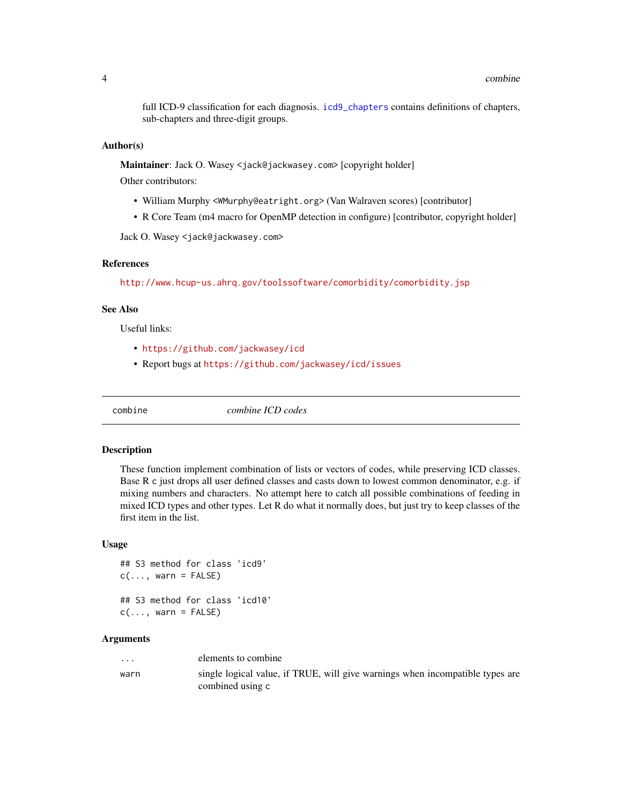<span id="page-3-0"></span>full ICD-9 classification for each diagnosis. [icd9\\_chapters](#page-7-1) contains definitions of chapters, sub-chapters and three-digit groups.

#### Author(s)

Maintainer: Jack O. Wasey <jack@jackwasey.com> [copyright holder]

Other contributors:

- William Murphy <WMurphy@eatright.org> (Van Walraven scores) [contributor]
- R Core Team (m4 macro for OpenMP detection in configure) [contributor, copyright holder]

Jack O. Wasey <jack@jackwasey.com>

# References

<http://www.hcup-us.ahrq.gov/toolssoftware/comorbidity/comorbidity.jsp>

# See Also

Useful links:

- <https://github.com/jackwasey/icd>
- Report bugs at <https://github.com/jackwasey/icd/issues>

combine *combine ICD codes*

#### Description

These function implement combination of lists or vectors of codes, while preserving ICD classes. Base R c just drops all user defined classes and casts down to lowest common denominator, e.g. if mixing numbers and characters. No attempt here to catch all possible combinations of feeding in mixed ICD types and other types. Let R do what it normally does, but just try to keep classes of the first item in the list.

#### Usage

```
## S3 method for class 'icd9'
c(\ldots, \text{ warn} = \text{FALSE})## S3 method for class 'icd10'
c(\ldots, \text{ warn} = \text{FALSE})
```
#### **Arguments**

| $\cdot$ | elements to combine                                                                               |
|---------|---------------------------------------------------------------------------------------------------|
| warn    | single logical value, if TRUE, will give warnings when incompatible types are<br>combined using c |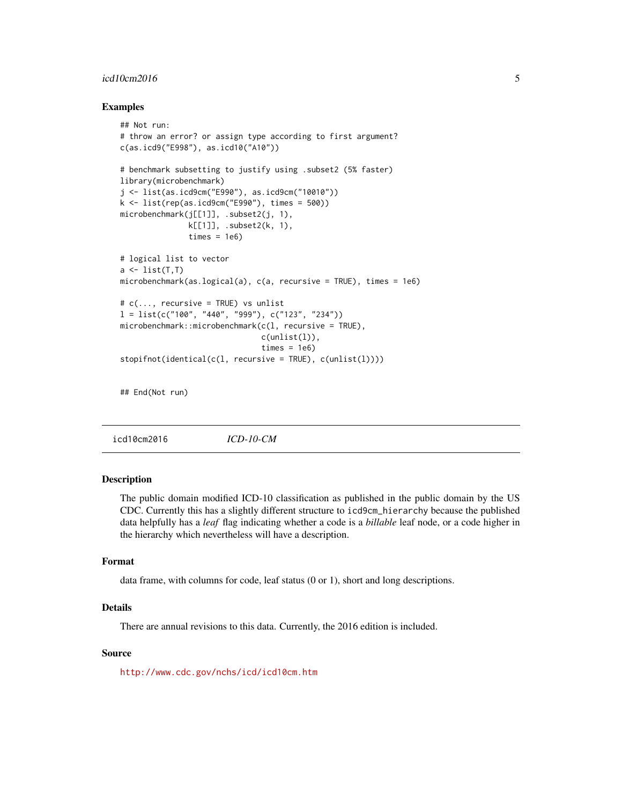# <span id="page-4-0"></span> $icd10cm2016$  5

#### Examples

```
## Not run:
# throw an error? or assign type according to first argument?
c(as.icd9("E998"), as.icd10("A10"))
# benchmark subsetting to justify using .subset2 (5% faster)
library(microbenchmark)
j <- list(as.icd9cm("E990"), as.icd9cm("10010"))
k <- list(rep(as.icd9cm("E990"), times = 500))
microbenchmark(j[[1]], .subset2(j, 1),
               k[[1]], .subset2(k, 1),
               times = 1e6# logical list to vector
a \leftarrow list(T, T)microbenchmark(as.logical(a), c(a, recursive = TRUE), times = 1e6)
# c(..., recursive = TRUE) vs unlist
l = list(c("100", "440", "999"), c("123", "234"))microbenchmark::microbenchmark(c(l, recursive = TRUE),
                               c(unlist(l)),
                               times = 1e6)
stopifnot(identical(c(l, recursive = TRUE), c(unlist(l))))
```
## End(Not run)

icd10cm2016 *ICD-10-CM*

# **Description**

The public domain modified ICD-10 classification as published in the public domain by the US CDC. Currently this has a slightly different structure to icd9cm\_hierarchy because the published data helpfully has a *leaf* flag indicating whether a code is a *billable* leaf node, or a code higher in the hierarchy which nevertheless will have a description.

# Format

data frame, with columns for code, leaf status (0 or 1), short and long descriptions.

# Details

There are annual revisions to this data. Currently, the 2016 edition is included.

# Source

<http://www.cdc.gov/nchs/icd/icd10cm.htm>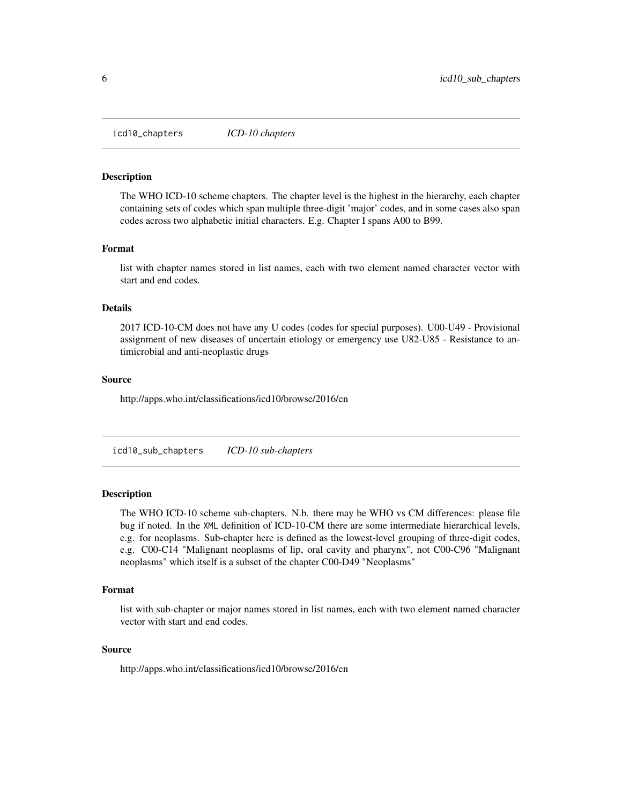<span id="page-5-0"></span>icd10\_chapters *ICD-10 chapters*

#### Description

The WHO ICD-10 scheme chapters. The chapter level is the highest in the hierarchy, each chapter containing sets of codes which span multiple three-digit 'major' codes, and in some cases also span codes across two alphabetic initial characters. E.g. Chapter I spans A00 to B99.

#### Format

list with chapter names stored in list names, each with two element named character vector with start and end codes.

# Details

2017 ICD-10-CM does not have any U codes (codes for special purposes). U00-U49 - Provisional assignment of new diseases of uncertain etiology or emergency use U82-U85 - Resistance to antimicrobial and anti-neoplastic drugs

#### Source

http://apps.who.int/classifications/icd10/browse/2016/en

icd10\_sub\_chapters *ICD-10 sub-chapters*

#### Description

The WHO ICD-10 scheme sub-chapters. N.b. there may be WHO vs CM differences: please file bug if noted. In the XML definition of ICD-10-CM there are some intermediate hierarchical levels, e.g. for neoplasms. Sub-chapter here is defined as the lowest-level grouping of three-digit codes, e.g. C00-C14 "Malignant neoplasms of lip, oral cavity and pharynx", not C00-C96 "Malignant neoplasms" which itself is a subset of the chapter C00-D49 "Neoplasms"

#### Format

list with sub-chapter or major names stored in list names, each with two element named character vector with start and end codes.

#### Source

http://apps.who.int/classifications/icd10/browse/2016/en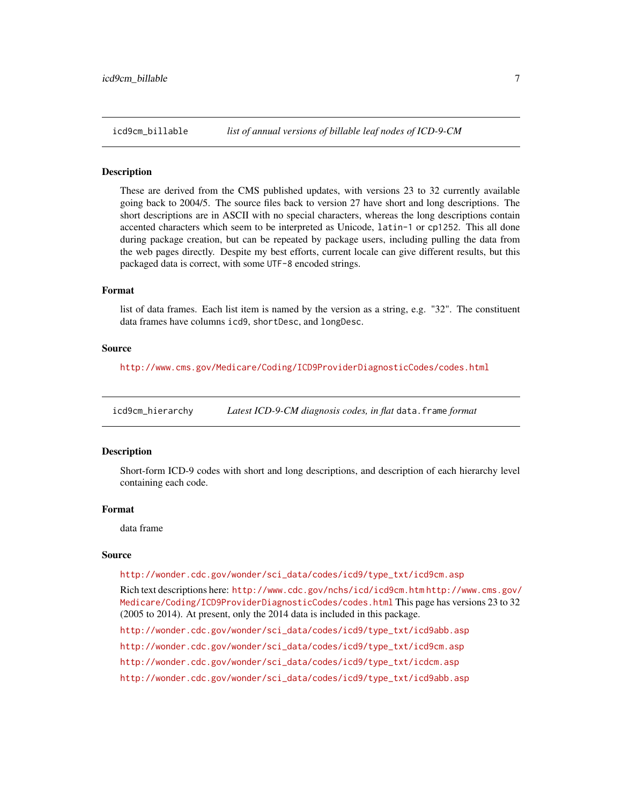<span id="page-6-0"></span>

#### **Description**

These are derived from the CMS published updates, with versions 23 to 32 currently available going back to 2004/5. The source files back to version 27 have short and long descriptions. The short descriptions are in ASCII with no special characters, whereas the long descriptions contain accented characters which seem to be interpreted as Unicode, latin-1 or cp1252. This all done during package creation, but can be repeated by package users, including pulling the data from the web pages directly. Despite my best efforts, current locale can give different results, but this packaged data is correct, with some UTF-8 encoded strings.

# Format

list of data frames. Each list item is named by the version as a string, e.g. "32". The constituent data frames have columns icd9, shortDesc, and longDesc.

#### Source

<http://www.cms.gov/Medicare/Coding/ICD9ProviderDiagnosticCodes/codes.html>

<span id="page-6-1"></span>icd9cm\_hierarchy *Latest ICD-9-CM diagnosis codes, in flat* data.frame *format*

#### Description

Short-form ICD-9 codes with short and long descriptions, and description of each hierarchy level containing each code.

#### Format

data frame

#### Source

[http://wonder.cdc.gov/wonder/sci\\_data/codes/icd9/type\\_txt/icd9cm.asp](http://wonder.cdc.gov/wonder/sci_data/codes/icd9/type_txt/icd9cm.asp)

Rich text descriptions here: <http://www.cdc.gov/nchs/icd/icd9cm.htm> [http://www.cms.gov/](http://www.cms.gov/Medicare/Coding/ICD9ProviderDiagnosticCodes/codes.html) [Medicare/Coding/ICD9ProviderDiagnosticCodes/codes.html](http://www.cms.gov/Medicare/Coding/ICD9ProviderDiagnosticCodes/codes.html) This page has versions 23 to 32 (2005 to 2014). At present, only the 2014 data is included in this package.

[http://wonder.cdc.gov/wonder/sci\\_data/codes/icd9/type\\_txt/icd9abb.asp](http://wonder.cdc.gov/wonder/sci_data/codes/icd9/type_txt/icd9abb.asp)

[http://wonder.cdc.gov/wonder/sci\\_data/codes/icd9/type\\_txt/icd9cm.asp](http://wonder.cdc.gov/wonder/sci_data/codes/icd9/type_txt/icd9cm.asp)

[http://wonder.cdc.gov/wonder/sci\\_data/codes/icd9/type\\_txt/icdcm.asp](http://wonder.cdc.gov/wonder/sci_data/codes/icd9/type_txt/icdcm.asp)

[http://wonder.cdc.gov/wonder/sci\\_data/codes/icd9/type\\_txt/icd9abb.asp](http://wonder.cdc.gov/wonder/sci_data/codes/icd9/type_txt/icd9abb.asp)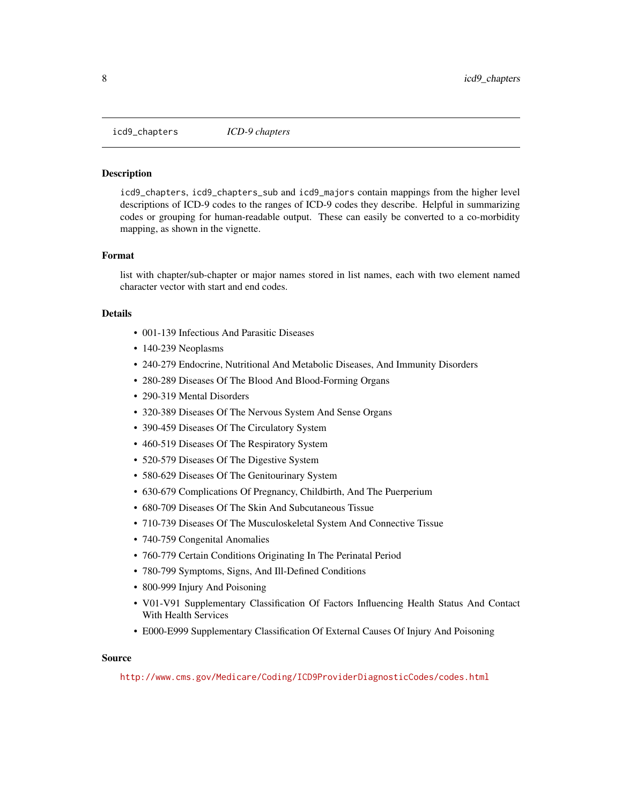<span id="page-7-1"></span><span id="page-7-0"></span>icd9\_chapters *ICD-9 chapters*

#### Description

icd9\_chapters, icd9\_chapters\_sub and icd9\_majors contain mappings from the higher level descriptions of ICD-9 codes to the ranges of ICD-9 codes they describe. Helpful in summarizing codes or grouping for human-readable output. These can easily be converted to a co-morbidity mapping, as shown in the vignette.

#### Format

list with chapter/sub-chapter or major names stored in list names, each with two element named character vector with start and end codes.

#### Details

- 001-139 Infectious And Parasitic Diseases
- 140-239 Neoplasms
- 240-279 Endocrine, Nutritional And Metabolic Diseases, And Immunity Disorders
- 280-289 Diseases Of The Blood And Blood-Forming Organs
- 290-319 Mental Disorders
- 320-389 Diseases Of The Nervous System And Sense Organs
- 390-459 Diseases Of The Circulatory System
- 460-519 Diseases Of The Respiratory System
- 520-579 Diseases Of The Digestive System
- 580-629 Diseases Of The Genitourinary System
- 630-679 Complications Of Pregnancy, Childbirth, And The Puerperium
- 680-709 Diseases Of The Skin And Subcutaneous Tissue
- 710-739 Diseases Of The Musculoskeletal System And Connective Tissue
- 740-759 Congenital Anomalies
- 760-779 Certain Conditions Originating In The Perinatal Period
- 780-799 Symptoms, Signs, And Ill-Defined Conditions
- 800-999 Injury And Poisoning
- V01-V91 Supplementary Classification Of Factors Influencing Health Status And Contact With Health Services
- E000-E999 Supplementary Classification Of External Causes Of Injury And Poisoning

#### Source

<http://www.cms.gov/Medicare/Coding/ICD9ProviderDiagnosticCodes/codes.html>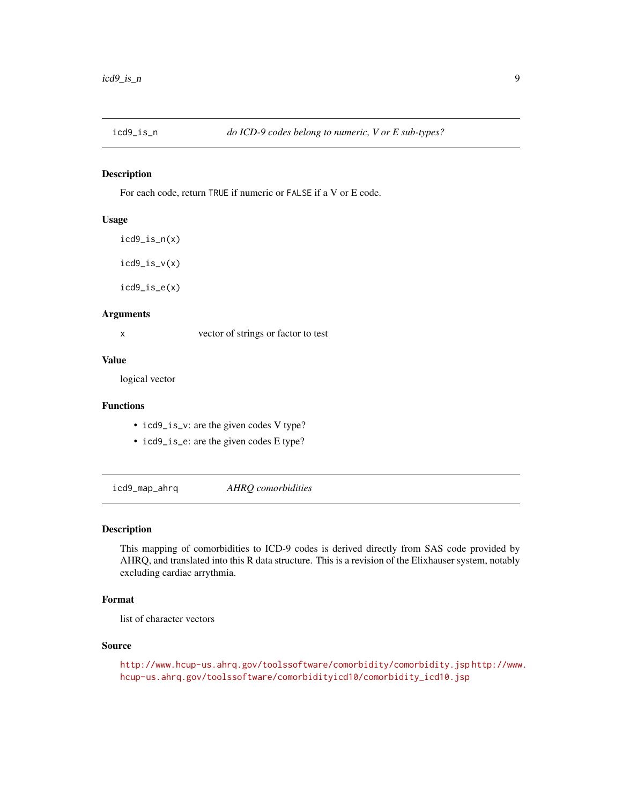<span id="page-8-0"></span>

#### Description

For each code, return TRUE if numeric or FALSE if a V or E code.

#### Usage

```
icd9_is_n(x)
icd9_is_v(x)
icd9_is_e(x)
```
# Arguments

x vector of strings or factor to test

# Value

logical vector

# Functions

- icd9\_is\_v: are the given codes V type?
- icd9\_is\_e: are the given codes E type?

<span id="page-8-1"></span>icd9\_map\_ahrq *AHRQ comorbidities*

#### Description

This mapping of comorbidities to ICD-9 codes is derived directly from SAS code provided by AHRQ, and translated into this R data structure. This is a revision of the Elixhauser system, notably excluding cardiac arrythmia.

# Format

list of character vectors

# Source

<http://www.hcup-us.ahrq.gov/toolssoftware/comorbidity/comorbidity.jsp> [http://www](http://www.hcup-us.ahrq.gov/toolssoftware/comorbidityicd10/comorbidity_icd10.jsp). [hcup-us.ahrq.gov/toolssoftware/comorbidityicd10/comorbidity\\_icd10.jsp](http://www.hcup-us.ahrq.gov/toolssoftware/comorbidityicd10/comorbidity_icd10.jsp)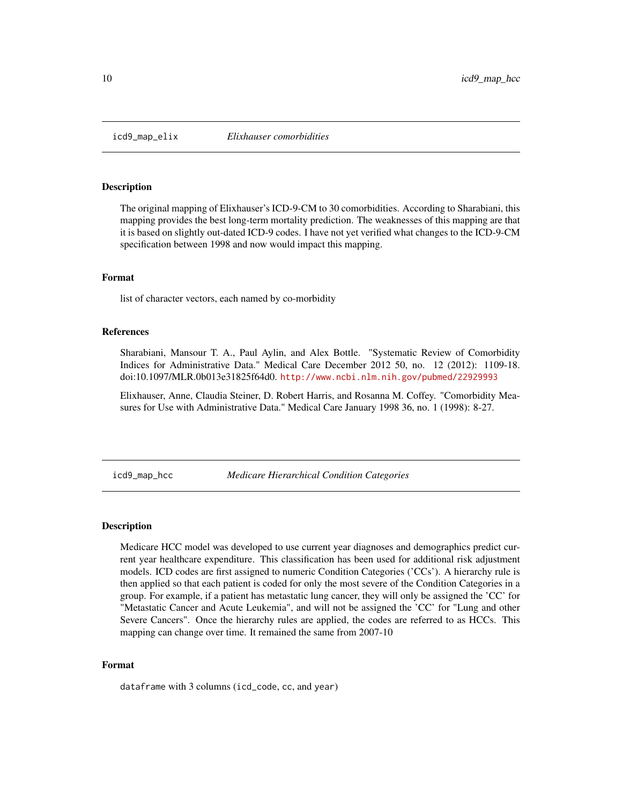<span id="page-9-1"></span><span id="page-9-0"></span>

#### **Description**

The original mapping of Elixhauser's ICD-9-CM to 30 comorbidities. According to Sharabiani, this mapping provides the best long-term mortality prediction. The weaknesses of this mapping are that it is based on slightly out-dated ICD-9 codes. I have not yet verified what changes to the ICD-9-CM specification between 1998 and now would impact this mapping.

#### Format

list of character vectors, each named by co-morbidity

#### References

Sharabiani, Mansour T. A., Paul Aylin, and Alex Bottle. "Systematic Review of Comorbidity Indices for Administrative Data." Medical Care December 2012 50, no. 12 (2012): 1109-18. doi:10.1097/MLR.0b013e31825f64d0. <http://www.ncbi.nlm.nih.gov/pubmed/22929993>

Elixhauser, Anne, Claudia Steiner, D. Robert Harris, and Rosanna M. Coffey. "Comorbidity Measures for Use with Administrative Data." Medical Care January 1998 36, no. 1 (1998): 8-27.

icd9\_map\_hcc *Medicare Hierarchical Condition Categories*

#### Description

Medicare HCC model was developed to use current year diagnoses and demographics predict current year healthcare expenditure. This classification has been used for additional risk adjustment models. ICD codes are first assigned to numeric Condition Categories ('CCs'). A hierarchy rule is then applied so that each patient is coded for only the most severe of the Condition Categories in a group. For example, if a patient has metastatic lung cancer, they will only be assigned the 'CC' for "Metastatic Cancer and Acute Leukemia", and will not be assigned the 'CC' for "Lung and other Severe Cancers". Once the hierarchy rules are applied, the codes are referred to as HCCs. This mapping can change over time. It remained the same from 2007-10

#### Format

dataframe with 3 columns (icd\_code, cc, and year)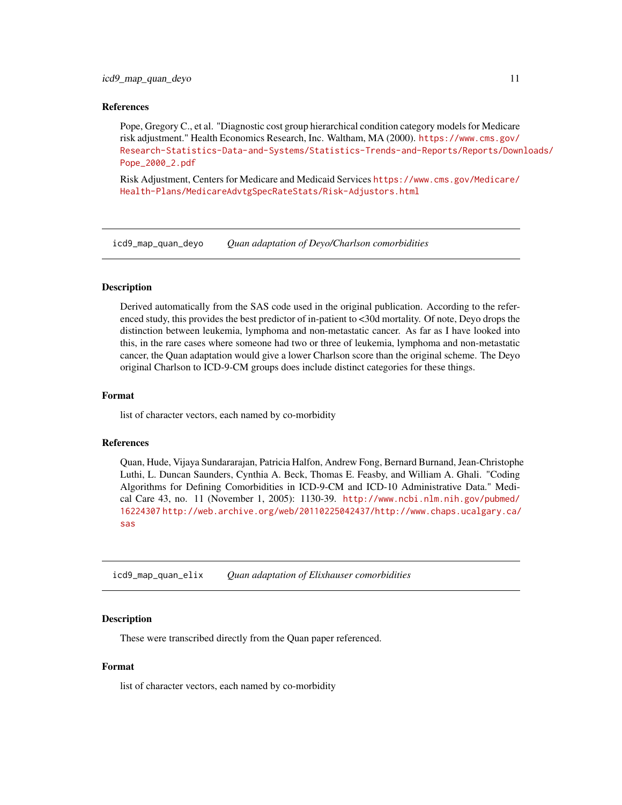#### <span id="page-10-0"></span>References

Pope, Gregory C., et al. "Diagnostic cost group hierarchical condition category models for Medicare risk adjustment." Health Economics Research, Inc. Waltham, MA (2000). [https://www.cms.gov/](https://www.cms.gov/Research-Statistics-Data-and-Systems/Statistics-Trends-and-Reports/Reports/Downloads/Pope_2000_2.pdf) [Research-Statistics-Data-and-Systems/Statistics-Trends-and-Reports/Reports/Down](https://www.cms.gov/Research-Statistics-Data-and-Systems/Statistics-Trends-and-Reports/Reports/Downloads/Pope_2000_2.pdf)loads/ [Pope\\_2000\\_2.pdf](https://www.cms.gov/Research-Statistics-Data-and-Systems/Statistics-Trends-and-Reports/Reports/Downloads/Pope_2000_2.pdf)

Risk Adjustment, Centers for Medicare and Medicaid Services [https://www.cms.gov/Medicare/](https://www.cms.gov/Medicare/Health-Plans/MedicareAdvtgSpecRateStats/Risk-Adjustors.html) [Health-Plans/MedicareAdvtgSpecRateStats/Risk-Adjustors.html](https://www.cms.gov/Medicare/Health-Plans/MedicareAdvtgSpecRateStats/Risk-Adjustors.html)

<span id="page-10-1"></span>icd9\_map\_quan\_deyo *Quan adaptation of Deyo/Charlson comorbidities*

#### <span id="page-10-2"></span>**Description**

Derived automatically from the SAS code used in the original publication. According to the referenced study, this provides the best predictor of in-patient to <30d mortality. Of note, Deyo drops the distinction between leukemia, lymphoma and non-metastatic cancer. As far as I have looked into this, in the rare cases where someone had two or three of leukemia, lymphoma and non-metastatic cancer, the Quan adaptation would give a lower Charlson score than the original scheme. The Deyo original Charlson to ICD-9-CM groups does include distinct categories for these things.

#### Format

list of character vectors, each named by co-morbidity

#### References

Quan, Hude, Vijaya Sundararajan, Patricia Halfon, Andrew Fong, Bernard Burnand, Jean-Christophe Luthi, L. Duncan Saunders, Cynthia A. Beck, Thomas E. Feasby, and William A. Ghali. "Coding Algorithms for Defining Comorbidities in ICD-9-CM and ICD-10 Administrative Data." Medical Care 43, no. 11 (November 1, 2005): 1130-39. [http://www.ncbi.nlm.nih.gov/pubmed/](http://www.ncbi.nlm.nih.gov/pubmed/16224307) [16224307](http://www.ncbi.nlm.nih.gov/pubmed/16224307) [http://web.archive.org/web/20110225042437/http://www.chaps.ucalgary.ca/](http://web.archive.org/web/20110225042437/http://www.chaps.ucalgary.ca/sas) [sas](http://web.archive.org/web/20110225042437/http://www.chaps.ucalgary.ca/sas)

<span id="page-10-3"></span>icd9\_map\_quan\_elix *Quan adaptation of Elixhauser comorbidities*

#### <span id="page-10-4"></span>Description

These were transcribed directly from the Quan paper referenced.

# Format

list of character vectors, each named by co-morbidity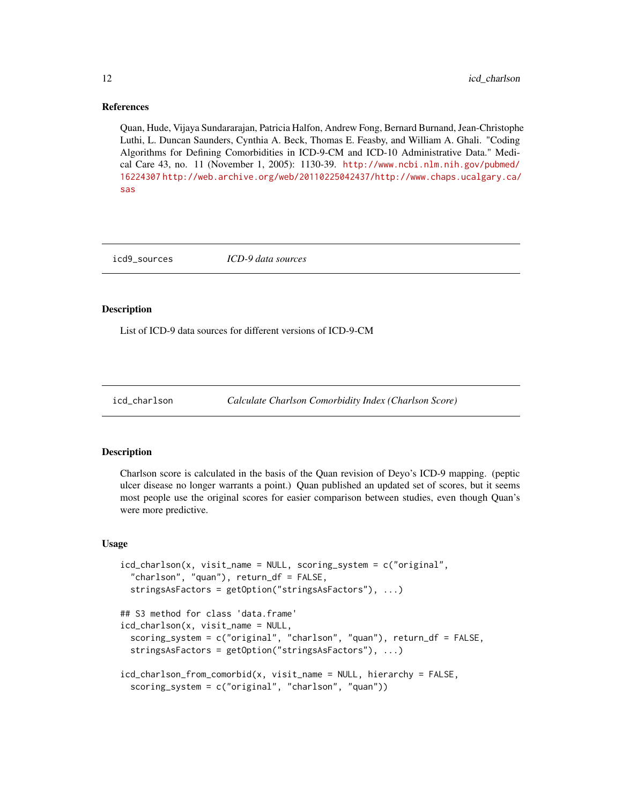#### References

Quan, Hude, Vijaya Sundararajan, Patricia Halfon, Andrew Fong, Bernard Burnand, Jean-Christophe Luthi, L. Duncan Saunders, Cynthia A. Beck, Thomas E. Feasby, and William A. Ghali. "Coding Algorithms for Defining Comorbidities in ICD-9-CM and ICD-10 Administrative Data." Medical Care 43, no. 11 (November 1, 2005): 1130-39. [http://www.ncbi.nlm.nih.gov/pubmed/](http://www.ncbi.nlm.nih.gov/pubmed/16224307) [16224307](http://www.ncbi.nlm.nih.gov/pubmed/16224307) [http://web.archive.org/web/20110225042437/http://www.chaps.ucalgary.ca/](http://web.archive.org/web/20110225042437/http://www.chaps.ucalgary.ca/sas) [sas](http://web.archive.org/web/20110225042437/http://www.chaps.ucalgary.ca/sas)

icd9\_sources *ICD-9 data sources*

# Description

List of ICD-9 data sources for different versions of ICD-9-CM

<span id="page-11-1"></span>

```
icd_charlson Calculate Charlson Comorbidity Index (Charlson Score)
```
# <span id="page-11-2"></span>**Description**

Charlson score is calculated in the basis of the Quan revision of Deyo's ICD-9 mapping. (peptic ulcer disease no longer warrants a point.) Quan published an updated set of scores, but it seems most people use the original scores for easier comparison between studies, even though Quan's were more predictive.

#### Usage

```
icd_charlson(x, visit_name = NULL, scoring_system = c("original",
  "charlson", "quan"), return_df = FALSE,
  stringsAsFactors = getOption("stringsAsFactors"), ...)
## S3 method for class 'data.frame'
icd_charlson(x, visit_name = NULL,
  scoring_system = c("original", "charlson", "quan"), return_df = FALSE,
  stringsAsFactors = getOption("stringsAsFactors"), ...)
```

```
icd_charlson_from_comorbid(x, visit_name = NULL, hierarchy = FALSE,
 scoring_system = c("original", "charlson", "quan"))
```
<span id="page-11-0"></span>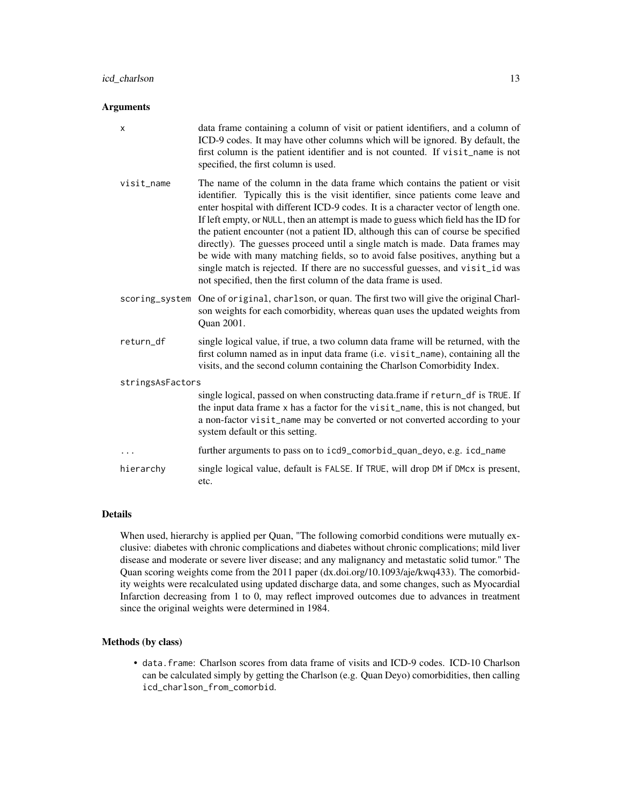# Arguments

| X                | data frame containing a column of visit or patient identifiers, and a column of<br>ICD-9 codes. It may have other columns which will be ignored. By default, the<br>first column is the patient identifier and is not counted. If visit_name is not<br>specified, the first column is used.                                                                                                                                                                                                                                                                                                                                                                                                                                                                |  |
|------------------|------------------------------------------------------------------------------------------------------------------------------------------------------------------------------------------------------------------------------------------------------------------------------------------------------------------------------------------------------------------------------------------------------------------------------------------------------------------------------------------------------------------------------------------------------------------------------------------------------------------------------------------------------------------------------------------------------------------------------------------------------------|--|
| visit_name       | The name of the column in the data frame which contains the patient or visit<br>identifier. Typically this is the visit identifier, since patients come leave and<br>enter hospital with different ICD-9 codes. It is a character vector of length one.<br>If left empty, or NULL, then an attempt is made to guess which field has the ID for<br>the patient encounter (not a patient ID, although this can of course be specified<br>directly). The guesses proceed until a single match is made. Data frames may<br>be wide with many matching fields, so to avoid false positives, anything but a<br>single match is rejected. If there are no successful guesses, and visit_id was<br>not specified, then the first column of the data frame is used. |  |
| scoring_system   | One of original, charlson, or quan. The first two will give the original Charl-<br>son weights for each comorbidity, whereas quan uses the updated weights from<br>Quan 2001.                                                                                                                                                                                                                                                                                                                                                                                                                                                                                                                                                                              |  |
| return_df        | single logical value, if true, a two column data frame will be returned, with the<br>first column named as in input data frame (i.e. visit_name), containing all the<br>visits, and the second column containing the Charlson Comorbidity Index.                                                                                                                                                                                                                                                                                                                                                                                                                                                                                                           |  |
| stringsAsFactors |                                                                                                                                                                                                                                                                                                                                                                                                                                                                                                                                                                                                                                                                                                                                                            |  |
|                  | single logical, passed on when constructing data.frame if return_df is TRUE. If<br>the input data frame x has a factor for the visit_name, this is not changed, but<br>a non-factor visit_name may be converted or not converted according to your<br>system default or this setting.                                                                                                                                                                                                                                                                                                                                                                                                                                                                      |  |
|                  | further arguments to pass on to icd9_comorbid_quan_deyo, e.g. icd_name                                                                                                                                                                                                                                                                                                                                                                                                                                                                                                                                                                                                                                                                                     |  |
| hierarchy        | single logical value, default is FALSE. If TRUE, will drop DM if DMcx is present,<br>etc.                                                                                                                                                                                                                                                                                                                                                                                                                                                                                                                                                                                                                                                                  |  |

# Details

When used, hierarchy is applied per Quan, "The following comorbid conditions were mutually exclusive: diabetes with chronic complications and diabetes without chronic complications; mild liver disease and moderate or severe liver disease; and any malignancy and metastatic solid tumor." The Quan scoring weights come from the 2011 paper (dx.doi.org/10.1093/aje/kwq433). The comorbidity weights were recalculated using updated discharge data, and some changes, such as Myocardial Infarction decreasing from 1 to 0, may reflect improved outcomes due to advances in treatment since the original weights were determined in 1984.

#### Methods (by class)

• data.frame: Charlson scores from data frame of visits and ICD-9 codes. ICD-10 Charlson can be calculated simply by getting the Charlson (e.g. Quan Deyo) comorbidities, then calling icd\_charlson\_from\_comorbid.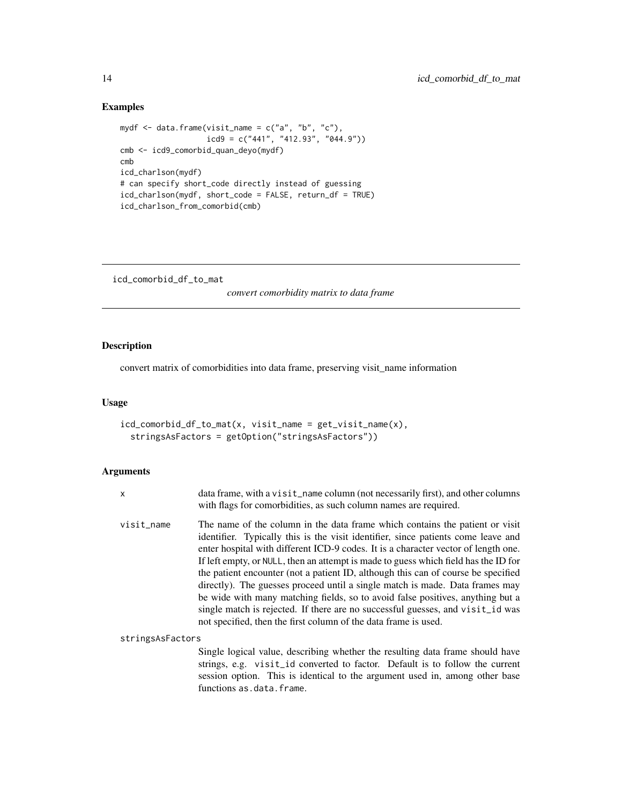# <span id="page-13-0"></span>Examples

```
mydf <- data.frame(visit_name = c("a", "b", "c"),
                   icd9 = c("441", "412.93", "044.9"))
cmb <- icd9_comorbid_quan_deyo(mydf)
cmb
icd_charlson(mydf)
# can specify short_code directly instead of guessing
icd_charlson(mydf, short_code = FALSE, return_df = TRUE)
icd_charlson_from_comorbid(cmb)
```
icd\_comorbid\_df\_to\_mat

*convert comorbidity matrix to data frame*

# Description

convert matrix of comorbidities into data frame, preserving visit\_name information

#### Usage

```
icd_comorbid_df_to_mat(x, visit_name = get_visit_name(x),
  stringsAsFactors = getOption("stringsAsFactors"))
```
#### Arguments

| $\mathsf{x}$     | data frame, with a visit_name column (not necessarily first), and other columns<br>with flags for comorbidities, as such column names are required.                                                                                                                                                                                                                                                                                                                                                                                                                                                                                                                                                                                                        |
|------------------|------------------------------------------------------------------------------------------------------------------------------------------------------------------------------------------------------------------------------------------------------------------------------------------------------------------------------------------------------------------------------------------------------------------------------------------------------------------------------------------------------------------------------------------------------------------------------------------------------------------------------------------------------------------------------------------------------------------------------------------------------------|
| visit_name       | The name of the column in the data frame which contains the patient or visit<br>identifier. Typically this is the visit identifier, since patients come leave and<br>enter hospital with different ICD-9 codes. It is a character vector of length one.<br>If left empty, or NULL, then an attempt is made to guess which field has the ID for<br>the patient encounter (not a patient ID, although this can of course be specified<br>directly). The guesses proceed until a single match is made. Data frames may<br>be wide with many matching fields, so to avoid false positives, anything but a<br>single match is rejected. If there are no successful guesses, and visit_id was<br>not specified, then the first column of the data frame is used. |
| stringsAsFactors |                                                                                                                                                                                                                                                                                                                                                                                                                                                                                                                                                                                                                                                                                                                                                            |
|                  | Single logical value, describing whether the resulting data frame should have<br>strings e.g. visit id converted to factor. Default is to follow the current                                                                                                                                                                                                                                                                                                                                                                                                                                                                                                                                                                                               |

strings, e.g. visit\_id converted to factor. Default is to follow the current session option. This is identical to the argument used in, among other base functions as.data.frame.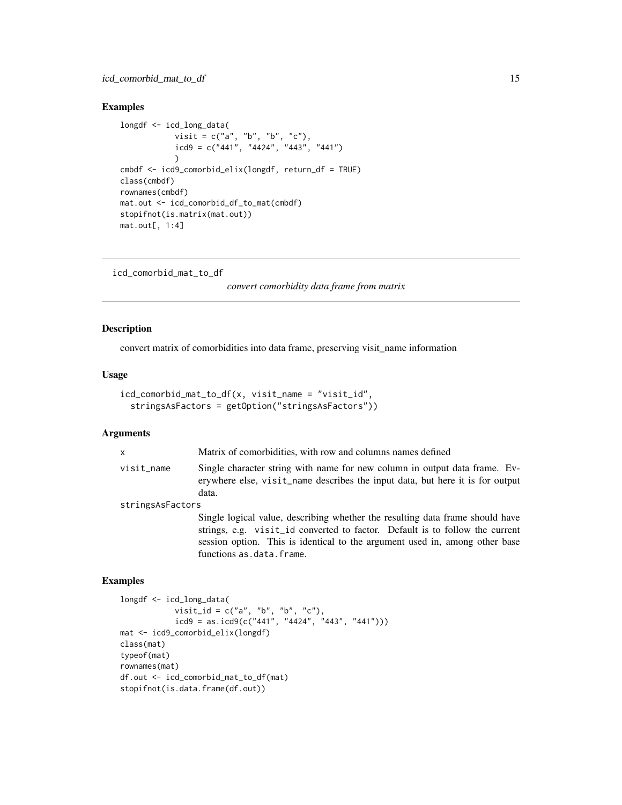# <span id="page-14-0"></span>Examples

```
longdf <- icd_long_data(
            visit = c("a", "b", "b", "c"),icd9 = c("441", "4424", "443", "441"))
cmbdf <- icd9_comorbid_elix(longdf, return_df = TRUE)
class(cmbdf)
rownames(cmbdf)
mat.out <- icd_comorbid_df_to_mat(cmbdf)
stopifnot(is.matrix(mat.out))
mat.out[, 1:4]
```
icd\_comorbid\_mat\_to\_df

*convert comorbidity data frame from matrix*

# Description

convert matrix of comorbidities into data frame, preserving visit\_name information

# Usage

```
icd_comorbid_mat_to_df(x, visit_name = "visit_id",
  stringsAsFactors = getOption("stringsAsFactors"))
```
#### Arguments

| $\mathsf{x}$     | Matrix of comorbidities, with row and columns names defined                                                                                                          |  |
|------------------|----------------------------------------------------------------------------------------------------------------------------------------------------------------------|--|
| visit_name       | Single character string with name for new column in output data frame. Ev-<br>erywhere else, visit_name describes the input data, but here it is for output<br>data. |  |
| stringsAsFactors |                                                                                                                                                                      |  |
|                  | Single logical value, describing whether the resulting data frame should have<br>strings e.g. visit id converted to factor. Default is to follow the current         |  |

strings, e.g. visit\_id converted to factor. Default is to follow the current session option. This is identical to the argument used in, among other base functions as.data.frame.

# Examples

```
longdf <- icd_long_data(
            visit_id = c("a", "b", "b", "c"),icd9 = as.icd9(c("441", "4424", "443", "441")))
mat <- icd9_comorbid_elix(longdf)
class(mat)
typeof(mat)
rownames(mat)
df.out <- icd_comorbid_mat_to_df(mat)
stopifnot(is.data.frame(df.out))
```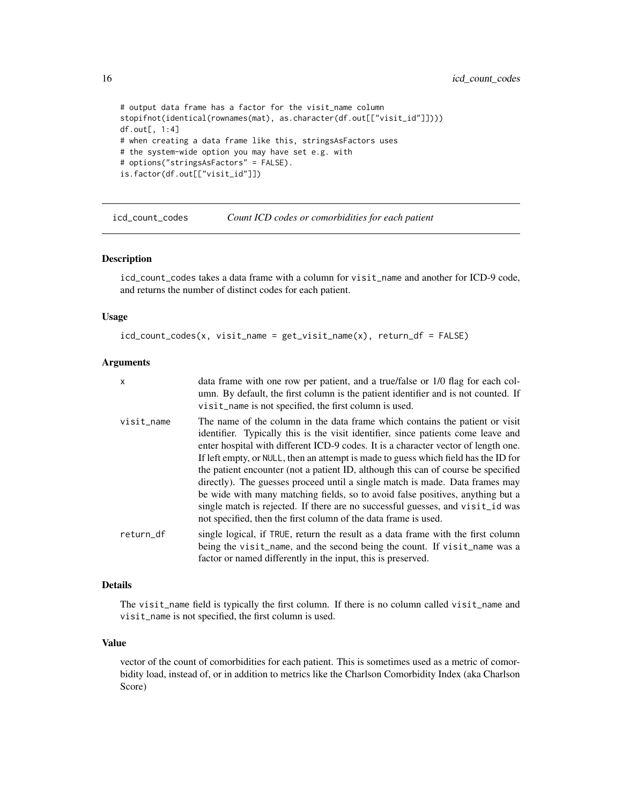<span id="page-15-0"></span>16 icd\_count\_codes

```
# output data frame has a factor for the visit_name column
stopifnot(identical(rownames(mat), as.character(df.out[["visit_id"]])))
df.out[, 1:4]
# when creating a data frame like this, stringsAsFactors uses
# the system-wide option you may have set e.g. with
# options("stringsAsFactors" = FALSE).
is.factor(df.out[["visit_id"]])
```
icd\_count\_codes *Count ICD codes or comorbidities for each patient*

#### Description

icd\_count\_codes takes a data frame with a column for visit\_name and another for ICD-9 code, and returns the number of distinct codes for each patient.

# Usage

icd\_count\_codes(x, visit\_name = get\_visit\_name(x), return\_df = FALSE)

# Arguments

| $\times$   | data frame with one row per patient, and a true/false or 1/0 flag for each col-<br>umn. By default, the first column is the patient identifier and is not counted. If<br>visit_name is not specified, the first column is used.                                                                                                                                                                                                                                                                                                                                                                                                                                                                                                                            |
|------------|------------------------------------------------------------------------------------------------------------------------------------------------------------------------------------------------------------------------------------------------------------------------------------------------------------------------------------------------------------------------------------------------------------------------------------------------------------------------------------------------------------------------------------------------------------------------------------------------------------------------------------------------------------------------------------------------------------------------------------------------------------|
| visit_name | The name of the column in the data frame which contains the patient or visit<br>identifier. Typically this is the visit identifier, since patients come leave and<br>enter hospital with different ICD-9 codes. It is a character vector of length one.<br>If left empty, or NULL, then an attempt is made to guess which field has the ID for<br>the patient encounter (not a patient ID, although this can of course be specified<br>directly). The guesses proceed until a single match is made. Data frames may<br>be wide with many matching fields, so to avoid false positives, anything but a<br>single match is rejected. If there are no successful guesses, and visit id was<br>not specified, then the first column of the data frame is used. |
| return_df  | single logical, if TRUE, return the result as a data frame with the first column<br>being the visit_name, and the second being the count. If visit_name was a<br>factor or named differently in the input, this is preserved.                                                                                                                                                                                                                                                                                                                                                                                                                                                                                                                              |

#### Details

The visit\_name field is typically the first column. If there is no column called visit\_name and visit\_name is not specified, the first column is used.

#### Value

vector of the count of comorbidities for each patient. This is sometimes used as a metric of comorbidity load, instead of, or in addition to metrics like the Charlson Comorbidity Index (aka Charlson Score)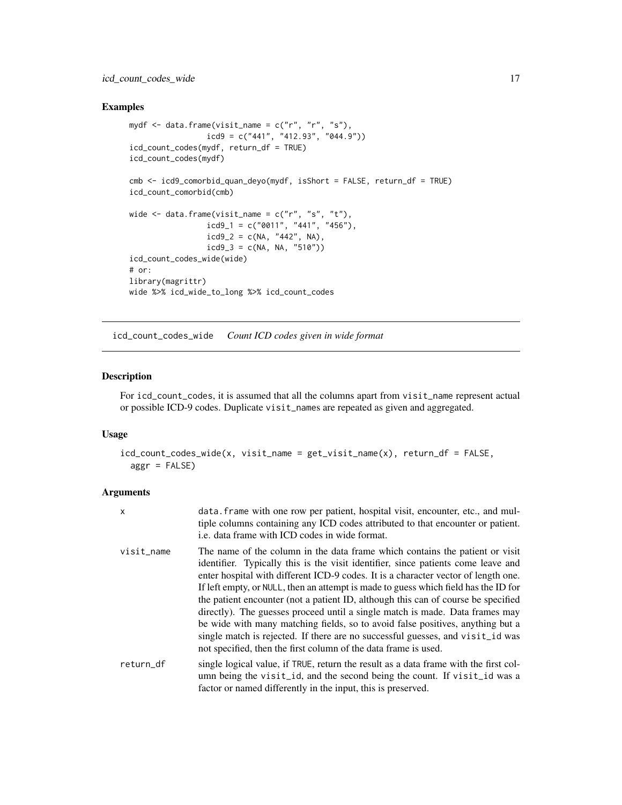# <span id="page-16-0"></span>icd\_count\_codes\_wide 17

# Examples

```
mydf \leq data.frame(visit_name = c("r", "r", "s"),
                 icd9 = c("441", "412.93", "044.9"))
icd_count_codes(mydf, return_df = TRUE)
icd_count_codes(mydf)
cmb <- icd9_comorbid_quan_deyo(mydf, isShort = FALSE, return_df = TRUE)
icd_count_comorbid(cmb)
wide \leq data.frame(visit_name = c("r", "s", "t"),
                icd9_1 = c("0011", "441", "456"),icd9_2 = c(NA, "442", NA),icd9_3 = c(NA, NA, "510"))icd_count_codes_wide(wide)
# or:
library(magrittr)
wide %>% icd_wide_to_long %>% icd_count_codes
```
icd\_count\_codes\_wide *Count ICD codes given in wide format*

# Description

For icd\_count\_codes, it is assumed that all the columns apart from visit\_name represent actual or possible ICD-9 codes. Duplicate visit\_names are repeated as given and aggregated.

#### Usage

```
icd_count_codes_wide(x, visit_name = get_visit_name(x), return_df = FALSE,
  aggr = FALSE)
```
# Arguments

| X          | data. Frame with one row per patient, hospital visit, encounter, etc., and mul-<br>tiple columns containing any ICD codes attributed to that encounter or patient.<br>i.e. data frame with ICD codes in wide format.                                                                                                                                                                                                                                                                                                                                                                                                                                                                                                                                       |
|------------|------------------------------------------------------------------------------------------------------------------------------------------------------------------------------------------------------------------------------------------------------------------------------------------------------------------------------------------------------------------------------------------------------------------------------------------------------------------------------------------------------------------------------------------------------------------------------------------------------------------------------------------------------------------------------------------------------------------------------------------------------------|
| visit_name | The name of the column in the data frame which contains the patient or visit<br>identifier. Typically this is the visit identifier, since patients come leave and<br>enter hospital with different ICD-9 codes. It is a character vector of length one.<br>If left empty, or NULL, then an attempt is made to guess which field has the ID for<br>the patient encounter (not a patient ID, although this can of course be specified<br>directly). The guesses proceed until a single match is made. Data frames may<br>be wide with many matching fields, so to avoid false positives, anything but a<br>single match is rejected. If there are no successful guesses, and visit id was<br>not specified, then the first column of the data frame is used. |
| return_df  | single logical value, if TRUE, return the result as a data frame with the first col-<br>umn being the visit_id, and the second being the count. If visit_id was a<br>factor or named differently in the input, this is preserved.                                                                                                                                                                                                                                                                                                                                                                                                                                                                                                                          |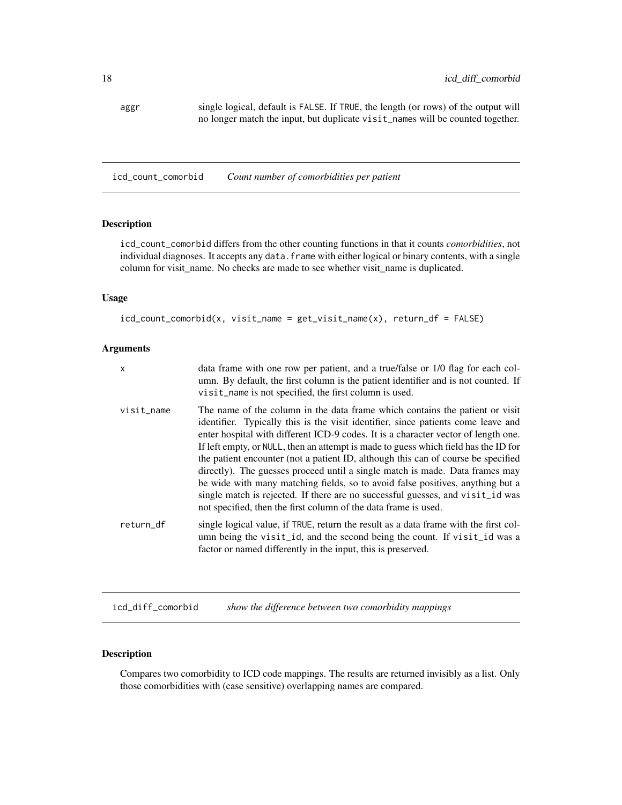<span id="page-17-0"></span>aggr single logical, default is FALSE. If TRUE, the length (or rows) of the output will no longer match the input, but duplicate visit\_names will be counted together.

icd\_count\_comorbid *Count number of comorbidities per patient*

# Description

icd\_count\_comorbid differs from the other counting functions in that it counts *comorbidities*, not individual diagnoses. It accepts any data. frame with either logical or binary contents, with a single column for visit\_name. No checks are made to see whether visit\_name is duplicated.

#### Usage

```
icd_count_comorbid(x, visit_name = get_visit_name(x), return_df = FALSE)
```
#### Arguments

| x          | data frame with one row per patient, and a true/false or 1/0 flag for each col-<br>umn. By default, the first column is the patient identifier and is not counted. If<br>visit_name is not specified, the first column is used.                                                                                                                                                                                                                                                                                                                                                                                                                                                                                                                            |
|------------|------------------------------------------------------------------------------------------------------------------------------------------------------------------------------------------------------------------------------------------------------------------------------------------------------------------------------------------------------------------------------------------------------------------------------------------------------------------------------------------------------------------------------------------------------------------------------------------------------------------------------------------------------------------------------------------------------------------------------------------------------------|
| visit_name | The name of the column in the data frame which contains the patient or visit<br>identifier. Typically this is the visit identifier, since patients come leave and<br>enter hospital with different ICD-9 codes. It is a character vector of length one.<br>If left empty, or NULL, then an attempt is made to guess which field has the ID for<br>the patient encounter (not a patient ID, although this can of course be specified<br>directly). The guesses proceed until a single match is made. Data frames may<br>be wide with many matching fields, so to avoid false positives, anything but a<br>single match is rejected. If there are no successful guesses, and visit id was<br>not specified, then the first column of the data frame is used. |
| return df  | single logical value, if TRUE, return the result as a data frame with the first col-<br>umn being the visit_id, and the second being the count. If visit_id was a<br>factor or named differently in the input, this is preserved.                                                                                                                                                                                                                                                                                                                                                                                                                                                                                                                          |

<span id="page-17-1"></span>icd\_diff\_comorbid *show the difference between two comorbidity mappings*

# Description

Compares two comorbidity to ICD code mappings. The results are returned invisibly as a list. Only those comorbidities with (case sensitive) overlapping names are compared.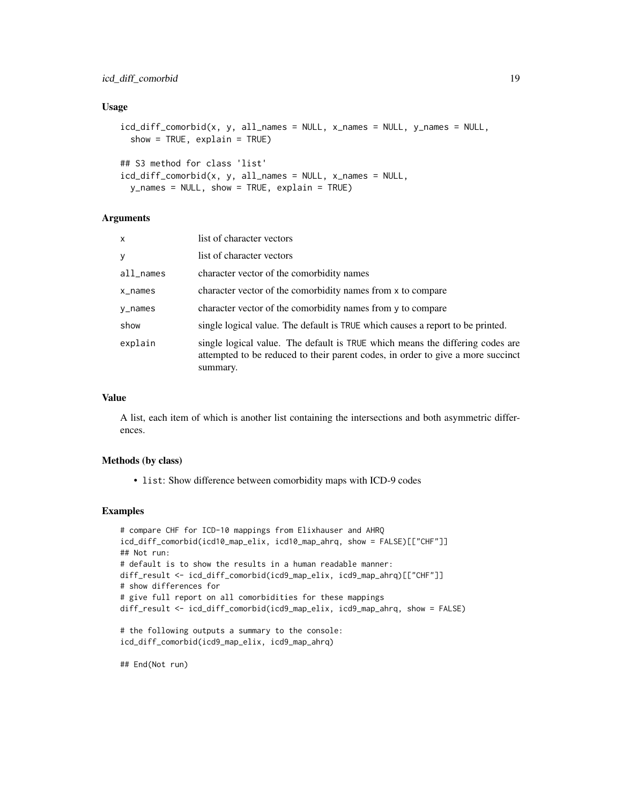# icd\_diff\_comorbid 19

#### Usage

```
icd_diff_comorbid(x, y, all_names = NULL, x_names = NULL, y_names = NULL,
  show = TRUE, explain = TRUE)
## S3 method for class 'list'
```

```
icd_diff_comorbid(x, y, all_names = NULL, x_names = NULL,
 y_names = NULL, show = TRUE, explain = TRUE)
```
# Arguments

| $\mathsf{x}$ | list of character vectors                                                                                                                                                    |
|--------------|------------------------------------------------------------------------------------------------------------------------------------------------------------------------------|
| y            | list of character vectors                                                                                                                                                    |
| all_names    | character vector of the comorbidity names                                                                                                                                    |
| $x$ _names   | character vector of the comorbidity names from x to compare                                                                                                                  |
| y_names      | character vector of the comorbidity names from y to compare                                                                                                                  |
| show         | single logical value. The default is TRUE which causes a report to be printed.                                                                                               |
| explain      | single logical value. The default is TRUE which means the differing codes are<br>attempted to be reduced to their parent codes, in order to give a more succinct<br>summary. |

# Value

A list, each item of which is another list containing the intersections and both asymmetric differences.

#### Methods (by class)

• list: Show difference between comorbidity maps with ICD-9 codes

#### Examples

```
# compare CHF for ICD-10 mappings from Elixhauser and AHRQ
icd_diff_comorbid(icd10_map_elix, icd10_map_ahrq, show = FALSE)[["CHF"]]
## Not run:
# default is to show the results in a human readable manner:
diff_result <- icd_diff_comorbid(icd9_map_elix, icd9_map_ahrq)[["CHF"]]
# show differences for
# give full report on all comorbidities for these mappings
diff_result <- icd_diff_comorbid(icd9_map_elix, icd9_map_ahrq, show = FALSE)
# the following outputs a summary to the console:
icd_diff_comorbid(icd9_map_elix, icd9_map_ahrq)
```
## End(Not run)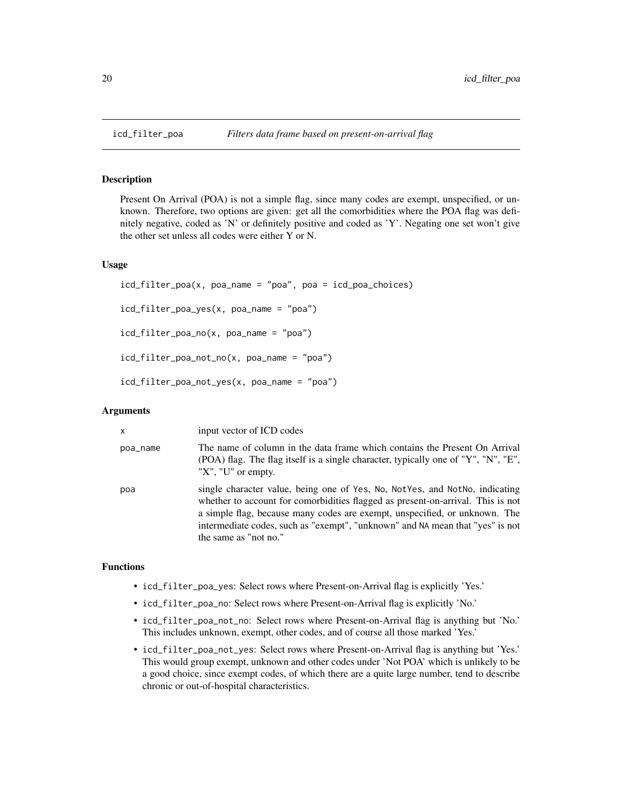#### Description

Present On Arrival (POA) is not a simple flag, since many codes are exempt, unspecified, or unknown. Therefore, two options are given: get all the comorbidities where the POA flag was definitely negative, coded as 'N' or definitely positive and coded as 'Y'. Negating one set won't give the other set unless all codes were either Y or N.

#### Usage

```
icd_filter_poa(x, poa_name = "poa", poa = icd_poa_choices)
icd_filter_poa_yes(x, poa_name = "poa")
icd_filter_poa_no(x, poa_name = "poa")
icd_filter_poa_not_no(x, poa_name = "poa")
icd_filter_poa_not_yes(x, poa_name = "poa")
```
#### Arguments

| $\mathsf{x}$ | input vector of ICD codes                                                                                                                                                                                                                                                                                                                              |
|--------------|--------------------------------------------------------------------------------------------------------------------------------------------------------------------------------------------------------------------------------------------------------------------------------------------------------------------------------------------------------|
| poa_name     | The name of column in the data frame which contains the Present On Arrival<br>(POA) flag. The flag itself is a single character, typically one of "Y", "N", "E",<br>" $X$ ", "U" or empty.                                                                                                                                                             |
| poa          | single character value, being one of Yes, No, NotYes, and NotNo, indicating<br>whether to account for comorbidities flagged as present-on-arrival. This is not<br>a simple flag, because many codes are exempt, unspecified, or unknown. The<br>intermediate codes, such as "exempt", "unknown" and NA mean that "yes" is not<br>the same as "not no." |

#### Functions

- icd\_filter\_poa\_yes: Select rows where Present-on-Arrival flag is explicitly 'Yes.'
- icd\_filter\_poa\_no: Select rows where Present-on-Arrival flag is explicitly 'No.'
- icd\_filter\_poa\_not\_no: Select rows where Present-on-Arrival flag is anything but 'No.' This includes unknown, exempt, other codes, and of course all those marked 'Yes.'
- icd\_filter\_poa\_not\_yes: Select rows where Present-on-Arrival flag is anything but 'Yes.' This would group exempt, unknown and other codes under 'Not POA' which is unlikely to be a good choice, since exempt codes, of which there are a quite large number, tend to describe chronic or out-of-hospital characteristics.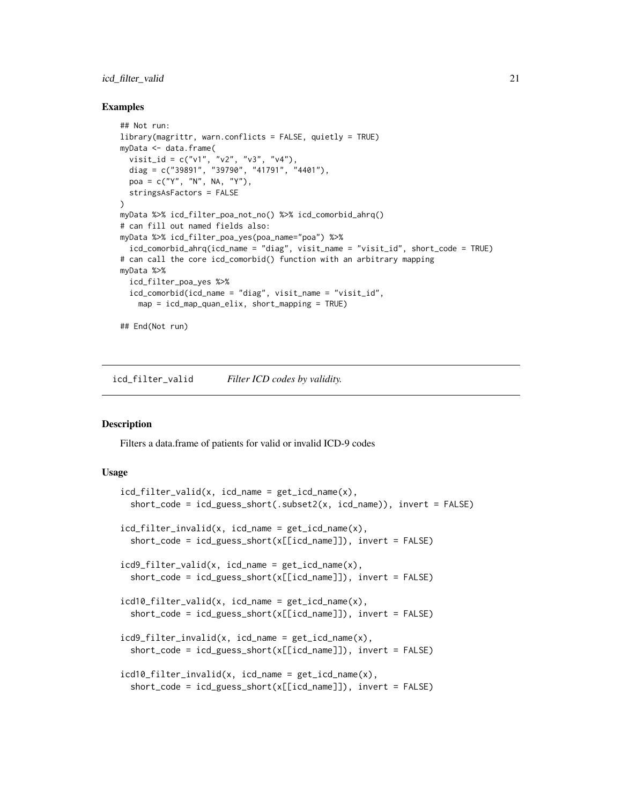#### <span id="page-20-0"></span>icd\_filter\_valid 21

#### Examples

```
## Not run:
library(magrittr, warn.conflicts = FALSE, quietly = TRUE)
myData <- data.frame(
  visit_id = c("v1", "v2", "v3", "v4"),
  diag = c("39891", "39790", "41791", "4401"),
  poa = c("Y", "N", NA, "Y"),
  stringsAsFactors = FALSE
)
myData %>% icd_filter_poa_not_no() %>% icd_comorbid_ahrq()
# can fill out named fields also:
myData %>% icd_filter_poa_yes(poa_name="poa") %>%
  icd_comorbid_ahrq(icd_name = "diag", visit_name = "visit_id", short_code = TRUE)
# can call the core icd_comorbid() function with an arbitrary mapping
myData %>%
  icd_filter_poa_yes %>%
  icd_comorbid(icd_name = "diag", visit_name = "visit_id",
    map = icd_map_quan_elix, short_mapping = TRUE)
## End(Not run)
```
icd\_filter\_valid *Filter ICD codes by validity.*

# Description

Filters a data.frame of patients for valid or invalid ICD-9 codes

#### Usage

```
icd_filter_valid(x, icd_name = get_icd_name(x),
 short_code = icd_guess_short(.subset2(x, icd_name)), invert = FALSE)
icd_filter_invalid(x, icd_name = get_icd_name(x),
  short_code = icd_guess_short(x[[icd_name]]), invert = FALSE)
icd9_filter_valid(x, icd_name = get_icd_name(x),
  short_code = icd_guess_short(x[[icd_name]]), invert = FALSE)
icd10_filter_valid(x, icd_name = get_icd_name(x),
  short_code = icd_guess_short(x[[icd_name]]), invert = FALSE)
icd9_filter_invalid(x, icd_name = get_icd_name(x),
  short_code = icd_guess_short(x[[icd_name]]), invert = FALSE)
icd10_filter_invalid(x, icd_name = get_icd_name(x),
  short_code = icd_guess_short(x[[icd_name]]), invert = FALSE)
```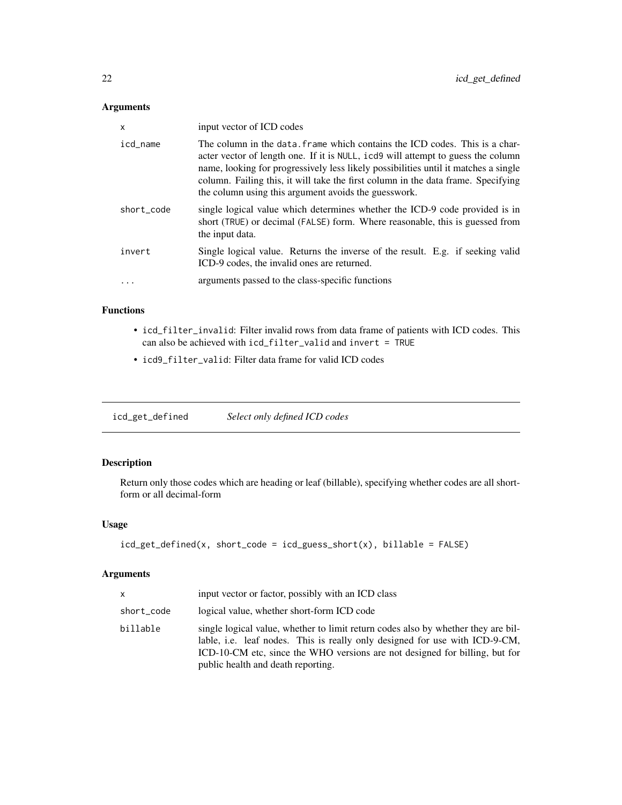# <span id="page-21-0"></span>Arguments

| X          | input vector of ICD codes                                                                                                                                                                                                                                                                                                                                                                           |
|------------|-----------------------------------------------------------------------------------------------------------------------------------------------------------------------------------------------------------------------------------------------------------------------------------------------------------------------------------------------------------------------------------------------------|
| icd name   | The column in the data, frame which contains the ICD codes. This is a char-<br>acter vector of length one. If it is NULL, icd9 will attempt to guess the column<br>name, looking for progressively less likely possibilities until it matches a single<br>column. Failing this, it will take the first column in the data frame. Specifying<br>the column using this argument avoids the guesswork. |
| short code | single logical value which determines whether the ICD-9 code provided is in<br>short (TRUE) or decimal (FALSE) form. Where reasonable, this is guessed from<br>the input data.                                                                                                                                                                                                                      |
| invert     | Single logical value. Returns the inverse of the result. E.g. if seeking valid<br>ICD-9 codes, the invalid ones are returned.                                                                                                                                                                                                                                                                       |
|            | arguments passed to the class-specific functions                                                                                                                                                                                                                                                                                                                                                    |

# Functions

- icd\_filter\_invalid: Filter invalid rows from data frame of patients with ICD codes. This can also be achieved with icd\_filter\_valid and invert = TRUE
- icd9\_filter\_valid: Filter data frame for valid ICD codes

icd\_get\_defined *Select only defined ICD codes*

# Description

Return only those codes which are heading or leaf (billable), specifying whether codes are all shortform or all decimal-form

# Usage

```
icd\_get\_defined(x, short\_code = icd\_guess\_short(x), billable = FALSE)
```
#### Arguments

| $\mathsf{x}$ | input vector or factor, possibly with an ICD class                                                                                                                                                                                                                                    |
|--------------|---------------------------------------------------------------------------------------------------------------------------------------------------------------------------------------------------------------------------------------------------------------------------------------|
| short_code   | logical value, whether short-form ICD code                                                                                                                                                                                                                                            |
| billable     | single logical value, whether to limit return codes also by whether they are bil-<br>lable, i.e. leaf nodes. This is really only designed for use with ICD-9-CM,<br>ICD-10-CM etc, since the WHO versions are not designed for billing, but for<br>public health and death reporting. |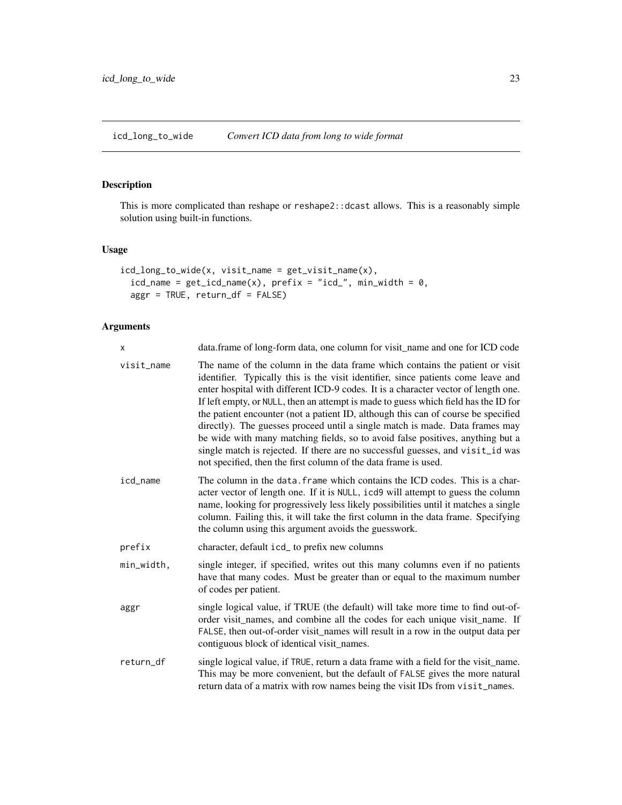<span id="page-22-1"></span><span id="page-22-0"></span>icd\_long\_to\_wide *Convert ICD data from long to wide format*

# Description

This is more complicated than reshape or reshape2::dcast allows. This is a reasonably simple solution using built-in functions.

# Usage

```
icd_long_to_wide(x, visit_name = get_visit_name(x),
 icd_name = get\_icd_name(x), prefix = "icd," min_width = 0,aggr = TRUE, return_df = FALSE)
```
# Arguments

| X          | data.frame of long-form data, one column for visit name and one for ICD code                                                                                                                                                                                                                                                                                                                                                                                                                                                                                                                                                                                                                                                                               |
|------------|------------------------------------------------------------------------------------------------------------------------------------------------------------------------------------------------------------------------------------------------------------------------------------------------------------------------------------------------------------------------------------------------------------------------------------------------------------------------------------------------------------------------------------------------------------------------------------------------------------------------------------------------------------------------------------------------------------------------------------------------------------|
| visit_name | The name of the column in the data frame which contains the patient or visit<br>identifier. Typically this is the visit identifier, since patients come leave and<br>enter hospital with different ICD-9 codes. It is a character vector of length one.<br>If left empty, or NULL, then an attempt is made to guess which field has the ID for<br>the patient encounter (not a patient ID, although this can of course be specified<br>directly). The guesses proceed until a single match is made. Data frames may<br>be wide with many matching fields, so to avoid false positives, anything but a<br>single match is rejected. If there are no successful guesses, and visit_id was<br>not specified, then the first column of the data frame is used. |
| icd_name   | The column in the data. frame which contains the ICD codes. This is a char-<br>acter vector of length one. If it is NULL, icd9 will attempt to guess the column<br>name, looking for progressively less likely possibilities until it matches a single<br>column. Failing this, it will take the first column in the data frame. Specifying<br>the column using this argument avoids the guesswork.                                                                                                                                                                                                                                                                                                                                                        |
| prefix     | character, default icd_ to prefix new columns                                                                                                                                                                                                                                                                                                                                                                                                                                                                                                                                                                                                                                                                                                              |
| min_width, | single integer, if specified, writes out this many columns even if no patients<br>have that many codes. Must be greater than or equal to the maximum number<br>of codes per patient.                                                                                                                                                                                                                                                                                                                                                                                                                                                                                                                                                                       |
| aggr       | single logical value, if TRUE (the default) will take more time to find out-of-<br>order visit_names, and combine all the codes for each unique visit_name. If<br>FALSE, then out-of-order visit_names will result in a row in the output data per<br>contiguous block of identical visit_names.                                                                                                                                                                                                                                                                                                                                                                                                                                                           |
| return_df  | single logical value, if TRUE, return a data frame with a field for the visit name.<br>This may be more convenient, but the default of FALSE gives the more natural<br>return data of a matrix with row names being the visit IDs from visit_names.                                                                                                                                                                                                                                                                                                                                                                                                                                                                                                        |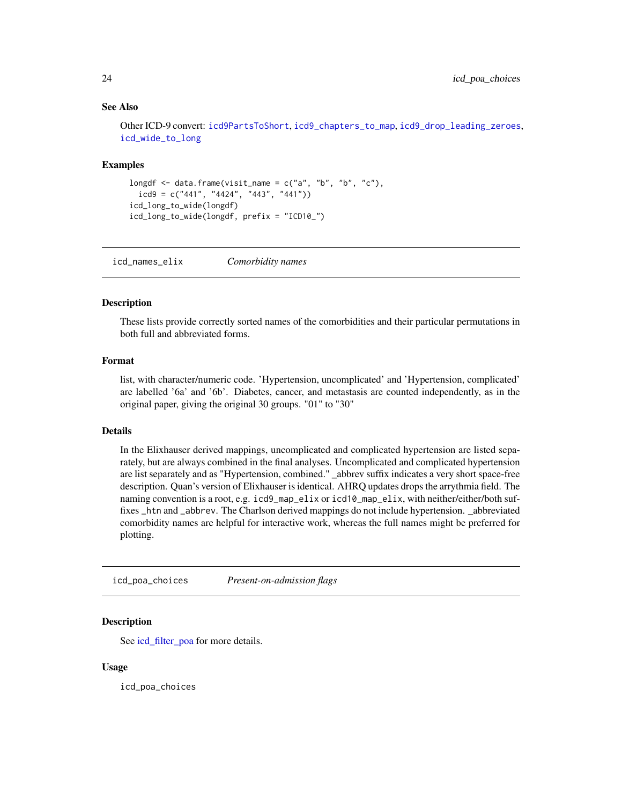#### See Also

Other ICD-9 convert: [icd9PartsToShort](#page-0-0), [icd9\\_chapters\\_to\\_map](#page-0-0), [icd9\\_drop\\_leading\\_zeroes](#page-0-0), [icd\\_wide\\_to\\_long](#page-25-1)

#### Examples

```
longdf \leq data.frame(visit_name = c("a", "b", "b", "c"),
  icd9 = c("441", "4424", "443", "441"))icd_long_to_wide(longdf)
icd_long_to_wide(longdf, prefix = "ICD10_")
```
icd\_names\_elix *Comorbidity names*

#### Description

These lists provide correctly sorted names of the comorbidities and their particular permutations in both full and abbreviated forms.

#### Format

list, with character/numeric code. 'Hypertension, uncomplicated' and 'Hypertension, complicated' are labelled '6a' and '6b'. Diabetes, cancer, and metastasis are counted independently, as in the original paper, giving the original 30 groups. "01" to "30"

# Details

In the Elixhauser derived mappings, uncomplicated and complicated hypertension are listed separately, but are always combined in the final analyses. Uncomplicated and complicated hypertension are list separately and as "Hypertension, combined." \_abbrev suffix indicates a very short space-free description. Quan's version of Elixhauser is identical. AHRQ updates drops the arrythmia field. The naming convention is a root, e.g. icd9\_map\_elix or icd10\_map\_elix, with neither/either/both suffixes \_htn and \_abbrev. The Charlson derived mappings do not include hypertension. \_abbreviated comorbidity names are helpful for interactive work, whereas the full names might be preferred for plotting.

icd\_poa\_choices *Present-on-admission flags*

# **Description**

See icd filter poa for more details.

#### Usage

icd\_poa\_choices

<span id="page-23-0"></span>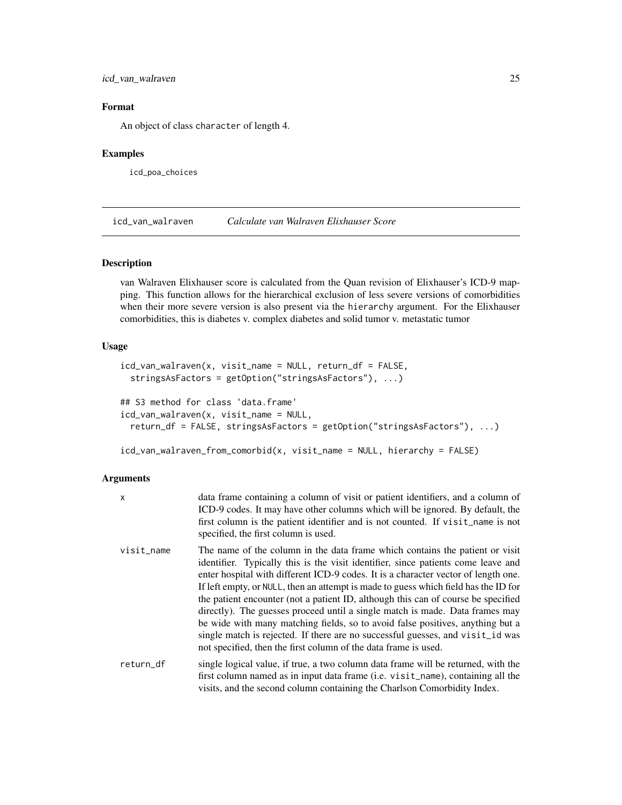<span id="page-24-0"></span>icd\_van\_walraven 25

# Format

An object of class character of length 4.

#### Examples

icd\_poa\_choices

icd\_van\_walraven *Calculate van Walraven Elixhauser Score*

# Description

van Walraven Elixhauser score is calculated from the Quan revision of Elixhauser's ICD-9 mapping. This function allows for the hierarchical exclusion of less severe versions of comorbidities when their more severe version is also present via the hierarchy argument. For the Elixhauser comorbidities, this is diabetes v. complex diabetes and solid tumor v. metastatic tumor

# Usage

```
icd_van_walraven(x, visit_name = NULL, return_df = FALSE,
  stringsAsFactors = getOption("stringsAsFactors"), ...)
## S3 method for class 'data.frame'
icd_van_walraven(x, visit_name = NULL,
  return_df = FALSE, stringsAsFactors = getOption("stringsAsFactors"), ...)
```
icd\_van\_walraven\_from\_comorbid(x, visit\_name = NULL, hierarchy = FALSE)

### Arguments

| X          | data frame containing a column of visit or patient identifiers, and a column of<br>ICD-9 codes. It may have other columns which will be ignored. By default, the<br>first column is the patient identifier and is not counted. If visit_name is not<br>specified, the first column is used.                                                                                                                                                                                                                                                                                                                                                                                                                                                                |
|------------|------------------------------------------------------------------------------------------------------------------------------------------------------------------------------------------------------------------------------------------------------------------------------------------------------------------------------------------------------------------------------------------------------------------------------------------------------------------------------------------------------------------------------------------------------------------------------------------------------------------------------------------------------------------------------------------------------------------------------------------------------------|
| visit_name | The name of the column in the data frame which contains the patient or visit<br>identifier. Typically this is the visit identifier, since patients come leave and<br>enter hospital with different ICD-9 codes. It is a character vector of length one.<br>If left empty, or NULL, then an attempt is made to guess which field has the ID for<br>the patient encounter (not a patient ID, although this can of course be specified<br>directly). The guesses proceed until a single match is made. Data frames may<br>be wide with many matching fields, so to avoid false positives, anything but a<br>single match is rejected. If there are no successful guesses, and visit_id was<br>not specified, then the first column of the data frame is used. |
| return_df  | single logical value, if true, a two column data frame will be returned, with the<br>first column named as in input data frame (i.e. visit_name), containing all the<br>visits, and the second column containing the Charlson Comorbidity Index.                                                                                                                                                                                                                                                                                                                                                                                                                                                                                                           |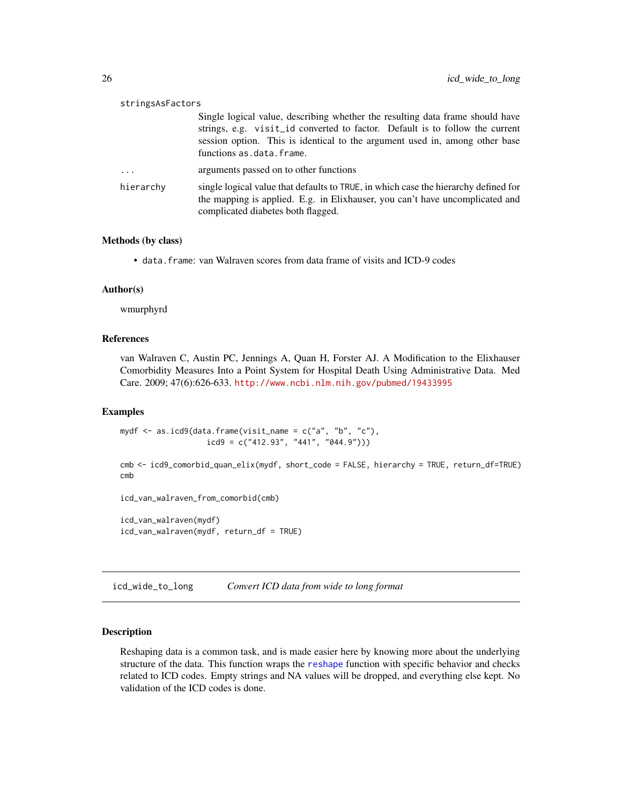<span id="page-25-0"></span>

| stringsAsFactors |                                                                                                                                                                                                                                                                          |
|------------------|--------------------------------------------------------------------------------------------------------------------------------------------------------------------------------------------------------------------------------------------------------------------------|
|                  | Single logical value, describing whether the resulting data frame should have<br>strings, e.g. visit_id converted to factor. Default is to follow the current<br>session option. This is identical to the argument used in, among other base<br>functions as.data.frame. |
| $\cdots$         | arguments passed on to other functions                                                                                                                                                                                                                                   |
| hierarchy        | single logical value that defaults to TRUE, in which case the hierarchy defined for<br>the mapping is applied. E.g. in Elixhauser, you can't have uncomplicated and<br>complicated diabetes both flagged.                                                                |

# Methods (by class)

• data.frame: van Walraven scores from data frame of visits and ICD-9 codes

#### Author(s)

wmurphyrd

#### References

van Walraven C, Austin PC, Jennings A, Quan H, Forster AJ. A Modification to the Elixhauser Comorbidity Measures Into a Point System for Hospital Death Using Administrative Data. Med Care. 2009; 47(6):626-633. <http://www.ncbi.nlm.nih.gov/pubmed/19433995>

#### Examples

```
mydf \leq as.icd9(data.frame(visit_name = c("a", "b", "c"),
                   icd9 = c("412.93", "441", "044.9"))
```

```
cmb <- icd9_comorbid_quan_elix(mydf, short_code = FALSE, hierarchy = TRUE, return_df=TRUE)
cmb
```

```
icd_van_walraven_from_comorbid(cmb)
```
icd\_van\_walraven(mydf) icd\_van\_walraven(mydf, return\_df = TRUE)

<span id="page-25-1"></span>icd\_wide\_to\_long *Convert ICD data from wide to long format*

# Description

Reshaping data is a common task, and is made easier here by knowing more about the underlying structure of the data. This function wraps the [reshape](#page-0-0) function with specific behavior and checks related to ICD codes. Empty strings and NA values will be dropped, and everything else kept. No validation of the ICD codes is done.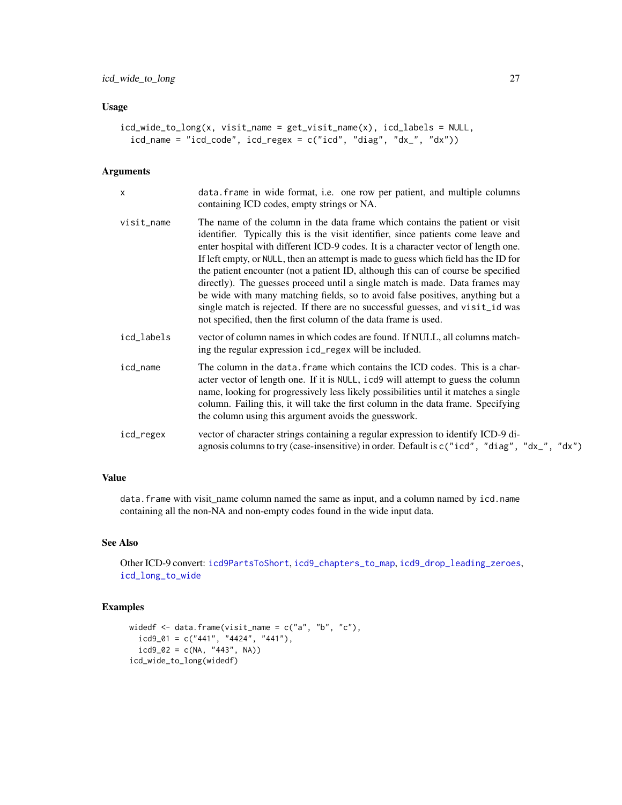# <span id="page-26-0"></span>Usage

```
icd_wide_to_long(x, visit_name = get_visit_name(x), icd_labels = NULL,
 icd_name = "icd_code", icd_regex = c("icd", "diag", "dx", "dx"))
```
#### Arguments

| $\boldsymbol{\mathsf{x}}$ | data. frame in wide format, i.e. one row per patient, and multiple columns<br>containing ICD codes, empty strings or NA.                                                                                                                                                                                                                                                                                                                                                                                                                                                                                                                                                                                                                                   |
|---------------------------|------------------------------------------------------------------------------------------------------------------------------------------------------------------------------------------------------------------------------------------------------------------------------------------------------------------------------------------------------------------------------------------------------------------------------------------------------------------------------------------------------------------------------------------------------------------------------------------------------------------------------------------------------------------------------------------------------------------------------------------------------------|
| visit_name                | The name of the column in the data frame which contains the patient or visit<br>identifier. Typically this is the visit identifier, since patients come leave and<br>enter hospital with different ICD-9 codes. It is a character vector of length one.<br>If left empty, or NULL, then an attempt is made to guess which field has the ID for<br>the patient encounter (not a patient ID, although this can of course be specified<br>directly). The guesses proceed until a single match is made. Data frames may<br>be wide with many matching fields, so to avoid false positives, anything but a<br>single match is rejected. If there are no successful guesses, and visit_id was<br>not specified, then the first column of the data frame is used. |
| icd_labels                | vector of column names in which codes are found. If NULL, all columns match-<br>ing the regular expression icd_regex will be included.                                                                                                                                                                                                                                                                                                                                                                                                                                                                                                                                                                                                                     |
| icd_name                  | The column in the data. frame which contains the ICD codes. This is a char-<br>acter vector of length one. If it is NULL, icd9 will attempt to guess the column<br>name, looking for progressively less likely possibilities until it matches a single<br>column. Failing this, it will take the first column in the data frame. Specifying<br>the column using this argument avoids the guesswork.                                                                                                                                                                                                                                                                                                                                                        |
| icd_regex                 | vector of character strings containing a regular expression to identify ICD-9 di-<br>agnosis columns to try (case-insensitive) in order. Default is $c("icd", "diag", "dx", "dx")$                                                                                                                                                                                                                                                                                                                                                                                                                                                                                                                                                                         |

# Value

data.frame with visit\_name column named the same as input, and a column named by icd.name containing all the non-NA and non-empty codes found in the wide input data.

# See Also

Other ICD-9 convert: [icd9PartsToShort](#page-0-0), [icd9\\_chapters\\_to\\_map](#page-0-0), [icd9\\_drop\\_leading\\_zeroes](#page-0-0), [icd\\_long\\_to\\_wide](#page-22-1)

# Examples

```
widedf \leq data.frame(visit_name = c("a", "b", "c"),
 icd9_01 = c("441", "4424", "441"),icd9_02 = c(NA, "443", NA))icd_wide_to_long(widedf)
```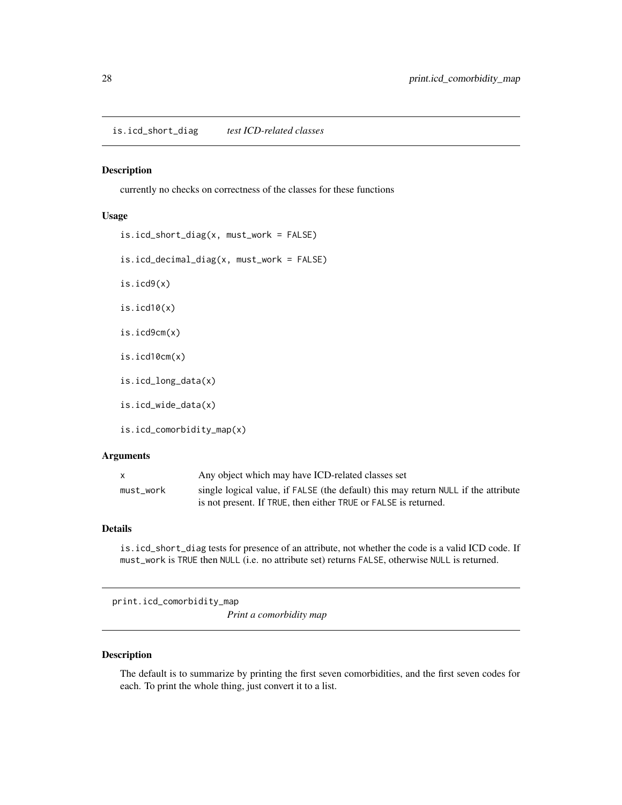<span id="page-27-0"></span>is.icd\_short\_diag *test ICD-related classes*

#### Description

currently no checks on correctness of the classes for these functions

#### Usage

```
is.icd_short_diag(x, must_work = FALSE)
is.icd_decimal_diag(x, must_work = FALSE)
is.icd9(x)
is.icd10(x)
is.icd9cm(x)
is.icd10cm(x)
is.icd_long_data(x)
is.icd_wide_data(x)
is.icd_comorbidity_map(x)
```
# Arguments

| X         | Any object which may have ICD-related classes set                                  |
|-----------|------------------------------------------------------------------------------------|
| must work | single logical value, if FALSE (the default) this may return NULL if the attribute |
|           | is not present. If TRUE, then either TRUE or FALSE is returned.                    |

#### Details

is.icd\_short\_diag tests for presence of an attribute, not whether the code is a valid ICD code. If must\_work is TRUE then NULL (i.e. no attribute set) returns FALSE, otherwise NULL is returned.

print.icd\_comorbidity\_map

*Print a comorbidity map*

# Description

The default is to summarize by printing the first seven comorbidities, and the first seven codes for each. To print the whole thing, just convert it to a list.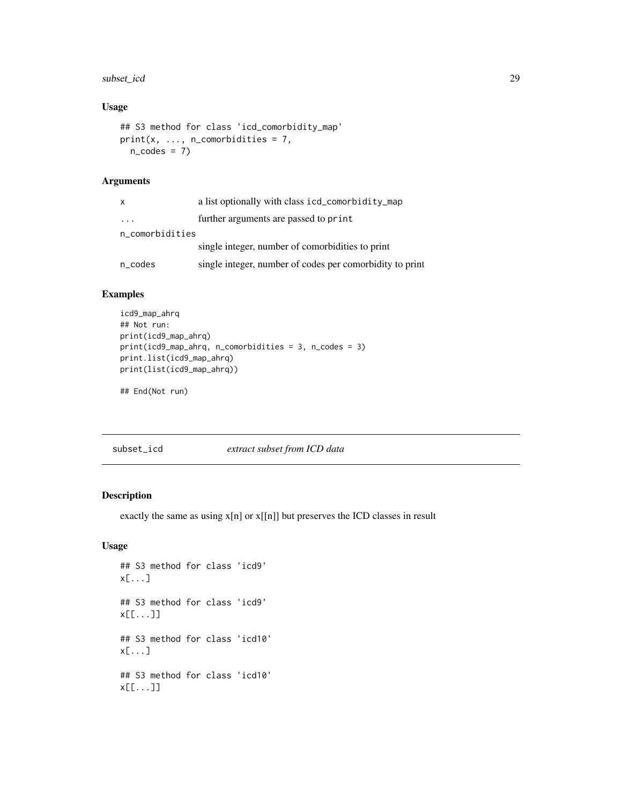# <span id="page-28-0"></span>subset\_icd 29

# Usage

```
## S3 method for class 'icd_comorbidity_map'
print(x, ..., n_{conorbidities} = 7,n\_codes = 7)
```
# Arguments

| X                       | a list optionally with class icd_comorbidity_map         |
|-------------------------|----------------------------------------------------------|
| $\cdot$ $\cdot$ $\cdot$ | further arguments are passed to print                    |
| n_comorbidities         |                                                          |
|                         | single integer, number of comorbidities to print         |
| n_codes                 | single integer, number of codes per comorbidity to print |

# Examples

```
icd9_map_ahrq
## Not run:
print(icd9_map_ahrq)
print(icd9_map_ahrq, n_comorbidities = 3, n_codes = 3)
print.list(icd9_map_ahrq)
print(list(icd9_map_ahrq))
```
## End(Not run)

subset\_icd *extract subset from ICD data*

# Description

exactly the same as using x[n] or x[[n]] but preserves the ICD classes in result

# Usage

```
## S3 method for class 'icd9'
x[...]
## S3 method for class 'icd9'
x[[...]]
## S3 method for class 'icd10'
x[...]
## S3 method for class 'icd10'
x[[...]]
```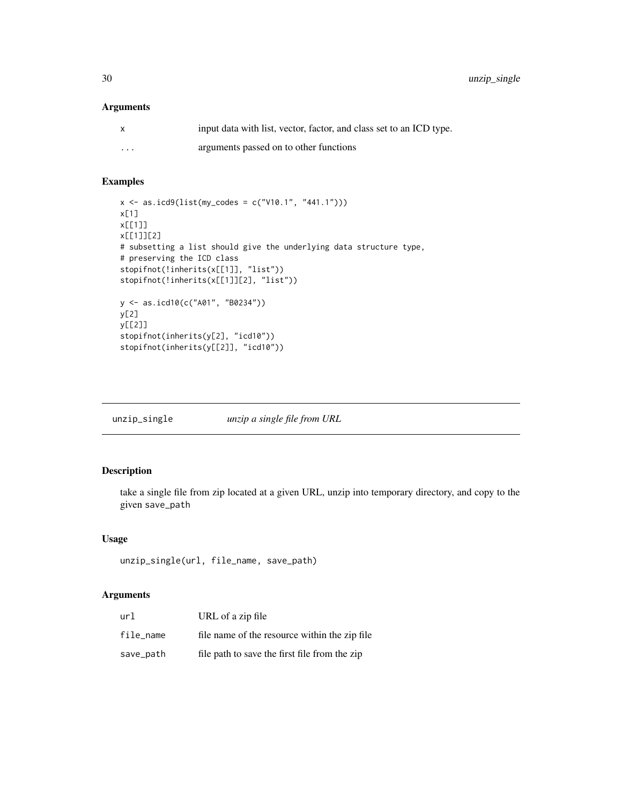<span id="page-29-0"></span>30 unzip\_single

# Arguments

|                         | input data with list, vector, factor, and class set to an ICD type. |
|-------------------------|---------------------------------------------------------------------|
| $\cdot$ $\cdot$ $\cdot$ | arguments passed on to other functions                              |

# Examples

```
x \le - as.icd9(list(my_codes = c("V10.1", "441.1")))
x[1]
x[[1]]
x[[1]][2]
# subsetting a list should give the underlying data structure type,
# preserving the ICD class
stopifnot(!inherits(x[[1]], "list"))
stopifnot(!inherits(x[[1]][2], "list"))
y <- as.icd10(c("A01", "B0234"))
y[2]
y[[2]]
stopifnot(inherits(y[2], "icd10"))
stopifnot(inherits(y[[2]], "icd10"))
```
unzip\_single *unzip a single file from URL*

# Description

take a single file from zip located at a given URL, unzip into temporary directory, and copy to the given save\_path

# Usage

```
unzip_single(url, file_name, save_path)
```
#### Arguments

| url       | URL of a zip file                             |
|-----------|-----------------------------------------------|
| file name | file name of the resource within the zip file |
| save_path | file path to save the first file from the zip |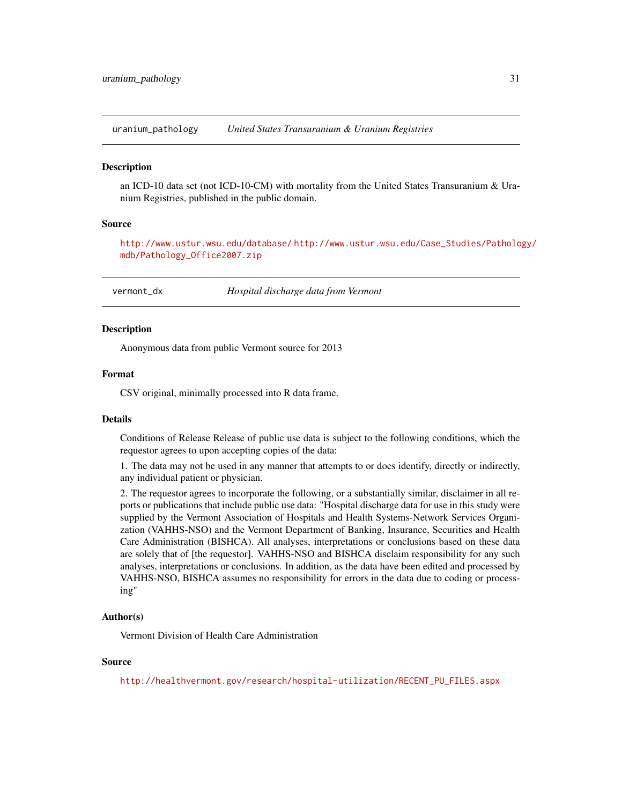<span id="page-30-0"></span>uranium\_pathology *United States Transuranium & Uranium Registries*

# **Description**

an ICD-10 data set (not ICD-10-CM) with mortality from the United States Transuranium & Uranium Registries, published in the public domain.

# Source

<http://www.ustur.wsu.edu/database/> [http://www.ustur.wsu.edu/Case\\_Studies/Patholo](http://www.ustur.wsu.edu/Case_Studies/Pathology/mdb/Pathology_Office2007.zip)gy/ [mdb/Pathology\\_Office2007.zip](http://www.ustur.wsu.edu/Case_Studies/Pathology/mdb/Pathology_Office2007.zip)

vermont\_dx *Hospital discharge data from Vermont*

#### **Description**

Anonymous data from public Vermont source for 2013

# Format

CSV original, minimally processed into R data frame.

# Details

Conditions of Release Release of public use data is subject to the following conditions, which the requestor agrees to upon accepting copies of the data:

1. The data may not be used in any manner that attempts to or does identify, directly or indirectly, any individual patient or physician.

2. The requestor agrees to incorporate the following, or a substantially similar, disclaimer in all reports or publications that include public use data: "Hospital discharge data for use in this study were supplied by the Vermont Association of Hospitals and Health Systems-Network Services Organization (VAHHS-NSO) and the Vermont Department of Banking, Insurance, Securities and Health Care Administration (BISHCA). All analyses, interpretations or conclusions based on these data are solely that of [the requestor]. VAHHS-NSO and BISHCA disclaim responsibility for any such analyses, interpretations or conclusions. In addition, as the data have been edited and processed by VAHHS-NSO, BISHCA assumes no responsibility for errors in the data due to coding or processing"

#### Author(s)

Vermont Division of Health Care Administration

#### Source

[http://healthvermont.gov/research/hospital-utilization/RECENT\\_PU\\_FILES.aspx](http://healthvermont.gov/research/hospital-utilization/RECENT_PU_FILES.aspx)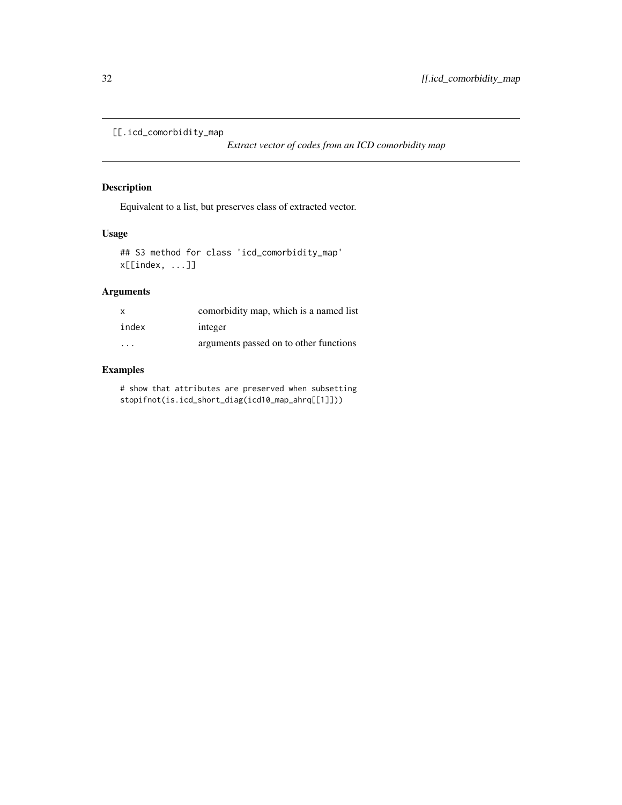```
[[.icd_comorbidity_map
```
*Extract vector of codes from an ICD comorbidity map*

# Description

Equivalent to a list, but preserves class of extracted vector.

# Usage

## S3 method for class 'icd\_comorbidity\_map' x[[index, ...]]

# Arguments

| $\mathbf{x}$            | comorbidity map, which is a named list |
|-------------------------|----------------------------------------|
| index                   | integer                                |
| $\cdot$ $\cdot$ $\cdot$ | arguments passed on to other functions |

# Examples

# show that attributes are preserved when subsetting stopifnot(is.icd\_short\_diag(icd10\_map\_ahrq[[1]]))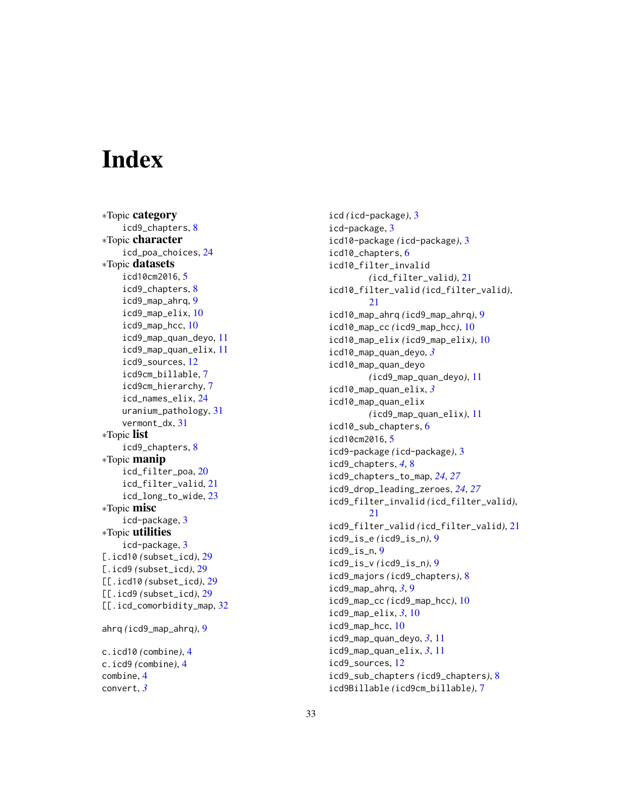# <span id="page-32-0"></span>**Index**

∗Topic category icd9\_chapters , [8](#page-7-0) ∗Topic character icd\_poa\_choices , [24](#page-23-0) ∗Topic datasets icd10cm2016 , [5](#page-4-0) icd9\_chapters , [8](#page-7-0) icd9\_map\_ahrq , [9](#page-8-0) icd9\_map\_elix , [10](#page-9-0) icd9\_map\_hcc , [10](#page-9-0) icd9\_map\_quan\_deyo , [11](#page-10-0) icd9\_map\_quan\_elix , [11](#page-10-0) icd9\_sources , [12](#page-11-0) icd9cm\_billable , [7](#page-6-0) icd9cm\_hierarchy , [7](#page-6-0) icd\_names\_elix , [24](#page-23-0) uranium\_pathology , [31](#page-30-0) vermont\_dx , [31](#page-30-0) ∗Topic list icd9\_chapters , [8](#page-7-0) ∗Topic manip icd\_filter\_poa , [20](#page-19-0) icd\_filter\_valid , [21](#page-20-0) icd\_long\_to\_wide , [23](#page-22-0) ∗Topic misc icd-package , [3](#page-2-0) ∗Topic utilities icd-package , [3](#page-2-0) [.icd10 *(*subset\_icd *)* , [29](#page-28-0) [.icd9 *(*subset\_icd *)* , [29](#page-28-0) [[.icd10 *(*subset\_icd *)* , [29](#page-28-0) [[.icd9 *(*subset\_icd *)* , [29](#page-28-0) [[.icd\_comorbidity\_map, [32](#page-31-0) ahrq *(*icd9\_map\_ahrq *)* , [9](#page-8-0) c.icd10 *(*combine *)* , [4](#page-3-0) c.icd9 *(*combine *)* , [4](#page-3-0) combine , [4](#page-3-0) convert , *[3](#page-2-0)*

icd *(*icd-package *)* , [3](#page-2-0) icd-package , [3](#page-2-0) icd10-package *(*icd-package *)* , [3](#page-2-0) icd10\_chapters , [6](#page-5-0) icd10\_filter\_invalid *(*icd\_filter\_valid *)* , [21](#page-20-0) icd10\_filter\_valid *(*icd\_filter\_valid *)* , [21](#page-20-0) icd10\_map\_ahrq *(*icd9\_map\_ahrq *)* , [9](#page-8-0) icd10\_map\_cc *(*icd9\_map\_hcc *)* , [10](#page-9-0) icd10\_map\_elix *(*icd9\_map\_elix *)* , [10](#page-9-0) icd10\_map\_quan\_deyo , *[3](#page-2-0)* icd10\_map\_quan\_deyo *(*icd9\_map\_quan\_deyo *)* , [11](#page-10-0) icd10\_map\_quan\_elix , *[3](#page-2-0)* icd10\_map\_quan\_elix *(*icd9\_map\_quan\_elix *)* , [11](#page-10-0) icd10\_sub\_chapters , [6](#page-5-0) icd10cm2016 , [5](#page-4-0) icd9-package *(*icd-package *)* , [3](#page-2-0) icd9\_chapters , *[4](#page-3-0)* , [8](#page-7-0) icd9\_chapters\_to\_map , *[24](#page-23-0)* , *[27](#page-26-0)* icd9\_drop\_leading\_zeroes , *[24](#page-23-0)* , *[27](#page-26-0)* icd9\_filter\_invalid *(*icd\_filter\_valid *)* , [21](#page-20-0) icd9\_filter\_valid *(*icd\_filter\_valid *)* , [21](#page-20-0) icd9\_is\_e *(*icd9\_is\_n *)* , [9](#page-8-0) icd9\_is\_n , [9](#page-8-0) icd9\_is\_v *(*icd9\_is\_n *)* , [9](#page-8-0) icd9\_majors *(*icd9\_chapters *)* , [8](#page-7-0) icd9\_map\_ahrq , *[3](#page-2-0)* , [9](#page-8-0) icd9\_map\_cc *(*icd9\_map\_hcc *)* , [10](#page-9-0) icd9\_map\_elix , *[3](#page-2-0)* , [10](#page-9-0) icd9\_map\_hcc , [10](#page-9-0) icd9\_map\_quan\_deyo , *[3](#page-2-0)* , [11](#page-10-0) icd9\_map\_quan\_elix , *[3](#page-2-0)* , [11](#page-10-0) icd9\_sources , [12](#page-11-0) icd9\_sub\_chapters *(*icd9\_chapters *)* , [8](#page-7-0) icd9Billable *(*icd9cm\_billable *)* , [7](#page-6-0)